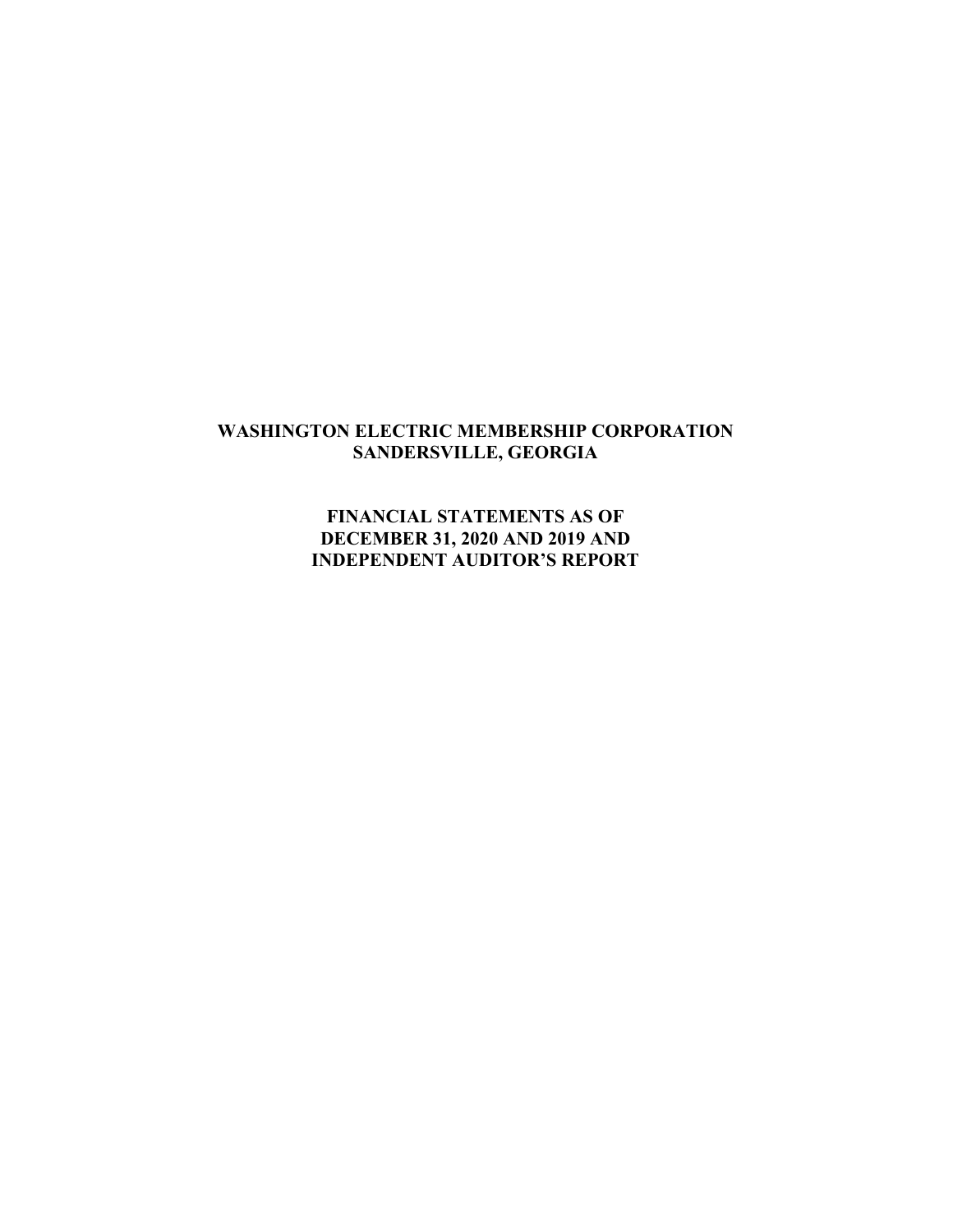# **WASHINGTON ELECTRIC MEMBERSHIP CORPORATION SANDERSVILLE, GEORGIA**

**FINANCIAL STATEMENTS AS OF DECEMBER 31, 2020 AND 2019 AND INDEPENDENT AUDITOR'S REPORT**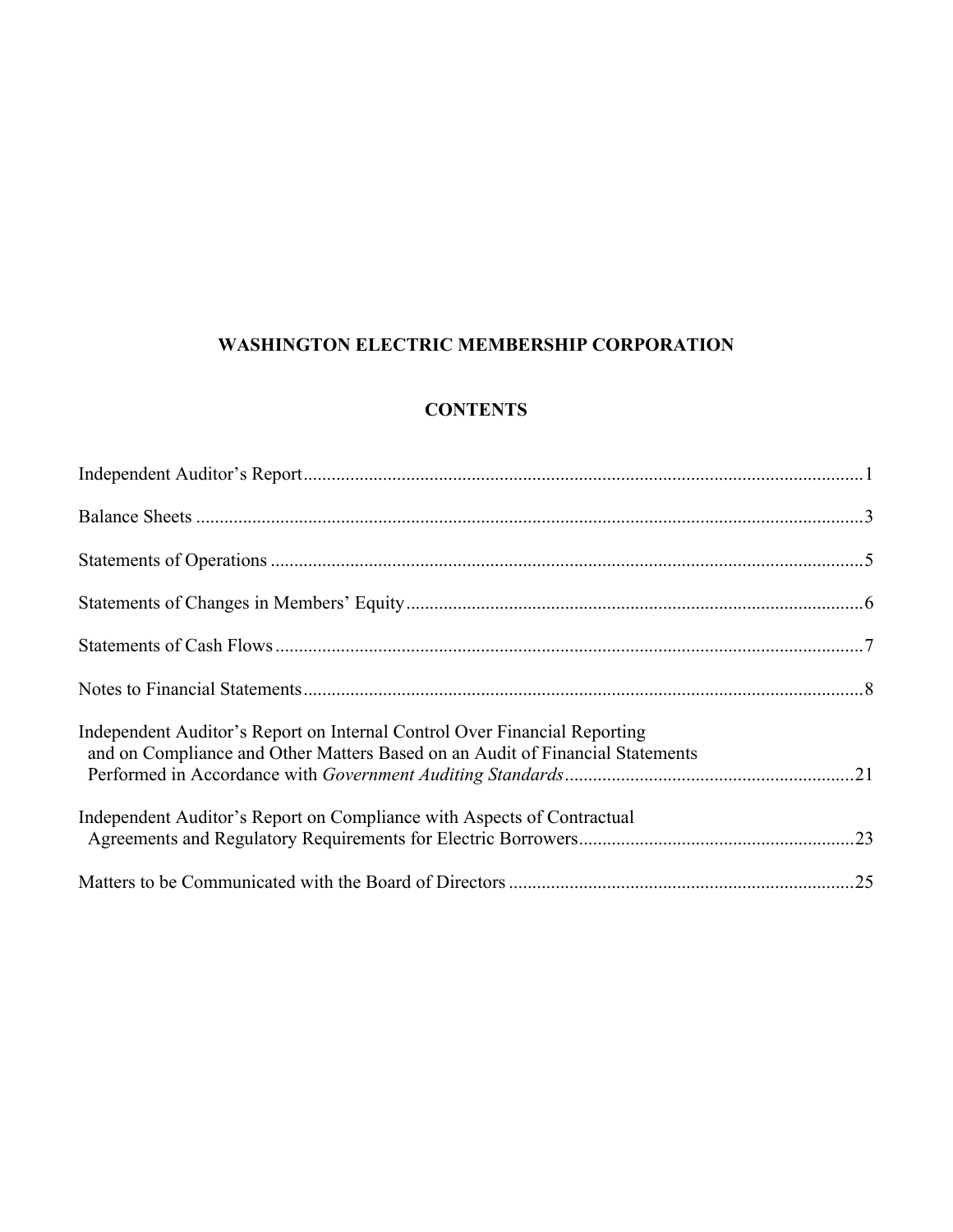# **WASHINGTON ELECTRIC MEMBERSHIP CORPORATION**

# **CONTENTS**

| Independent Auditor's Report on Internal Control Over Financial Reporting<br>and on Compliance and Other Matters Based on an Audit of Financial Statements |
|------------------------------------------------------------------------------------------------------------------------------------------------------------|
| Independent Auditor's Report on Compliance with Aspects of Contractual                                                                                     |
|                                                                                                                                                            |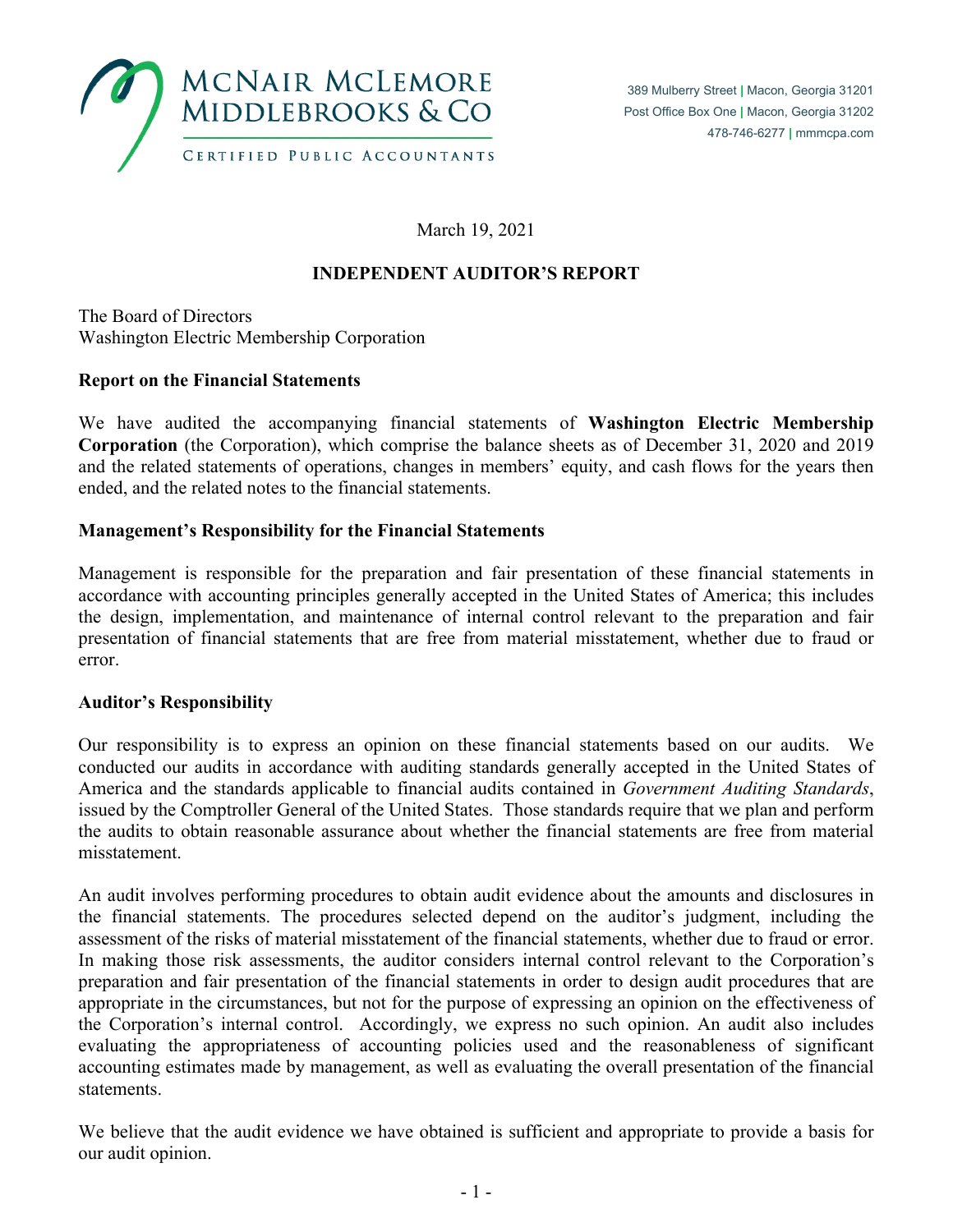

March 19, 2021

# **INDEPENDENT AUDITOR'S REPORT**

The Board of Directors Washington Electric Membership Corporation

### **Report on the Financial Statements**

We have audited the accompanying financial statements of **Washington Electric Membership Corporation** (the Corporation), which comprise the balance sheets as of December 31, 2020 and 2019 and the related statements of operations, changes in members' equity, and cash flows for the years then ended, and the related notes to the financial statements.

### **Management's Responsibility for the Financial Statements**

Management is responsible for the preparation and fair presentation of these financial statements in accordance with accounting principles generally accepted in the United States of America; this includes the design, implementation, and maintenance of internal control relevant to the preparation and fair presentation of financial statements that are free from material misstatement, whether due to fraud or error.

### **Auditor's Responsibility**

Our responsibility is to express an opinion on these financial statements based on our audits. We conducted our audits in accordance with auditing standards generally accepted in the United States of America and the standards applicable to financial audits contained in *Government Auditing Standards*, issued by the Comptroller General of the United States. Those standards require that we plan and perform the audits to obtain reasonable assurance about whether the financial statements are free from material misstatement.

An audit involves performing procedures to obtain audit evidence about the amounts and disclosures in the financial statements. The procedures selected depend on the auditor's judgment, including the assessment of the risks of material misstatement of the financial statements, whether due to fraud or error. In making those risk assessments, the auditor considers internal control relevant to the Corporation's preparation and fair presentation of the financial statements in order to design audit procedures that are appropriate in the circumstances, but not for the purpose of expressing an opinion on the effectiveness of the Corporation's internal control. Accordingly, we express no such opinion. An audit also includes evaluating the appropriateness of accounting policies used and the reasonableness of significant accounting estimates made by management, as well as evaluating the overall presentation of the financial statements.

We believe that the audit evidence we have obtained is sufficient and appropriate to provide a basis for our audit opinion.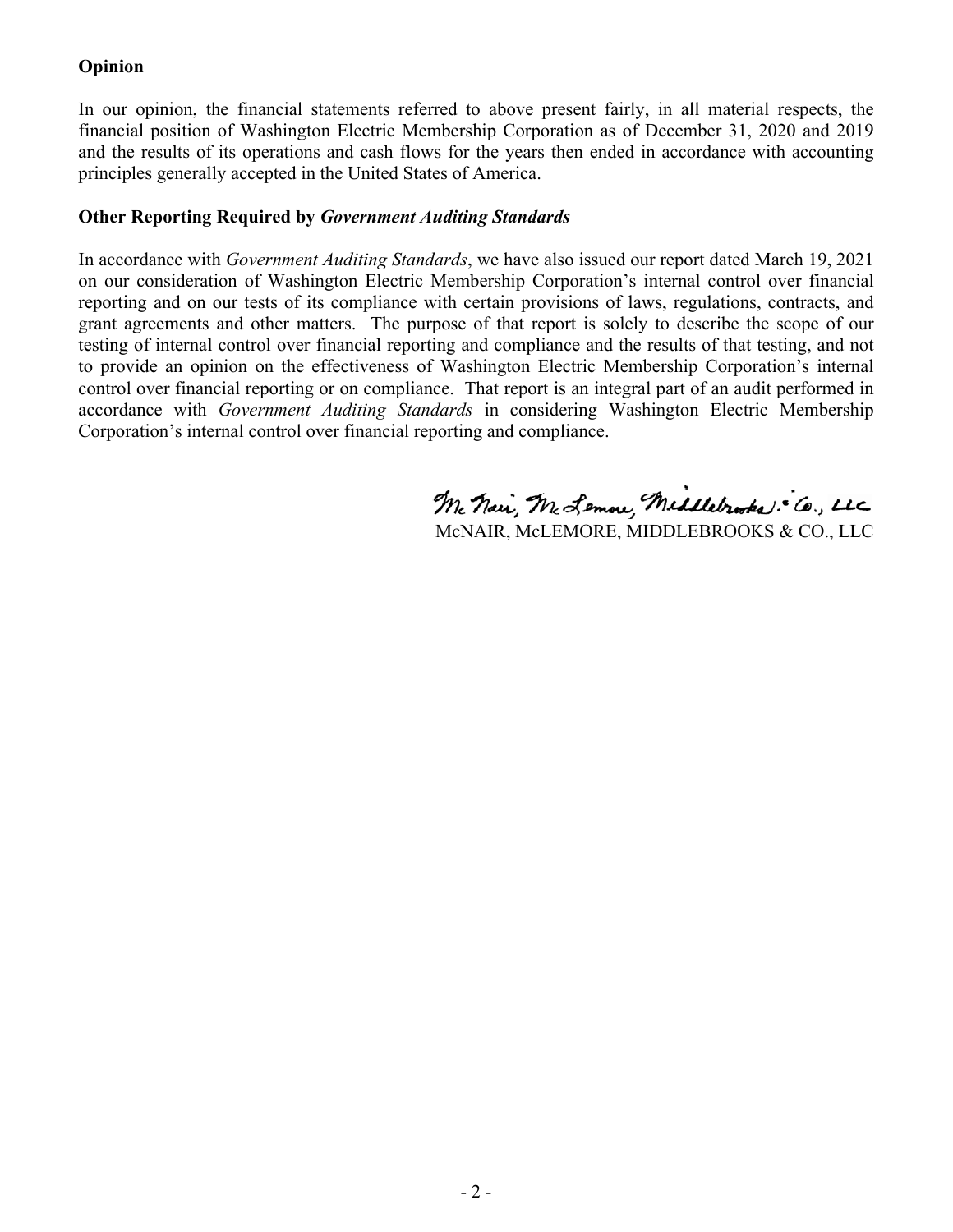# **Opinion**

In our opinion, the financial statements referred to above present fairly, in all material respects, the financial position of Washington Electric Membership Corporation as of December 31, 2020 and 2019 and the results of its operations and cash flows for the years then ended in accordance with accounting principles generally accepted in the United States of America.

## **Other Reporting Required by** *Government Auditing Standards*

In accordance with *Government Auditing Standards*, we have also issued our report dated March 19, 2021 on our consideration of Washington Electric Membership Corporation's internal control over financial reporting and on our tests of its compliance with certain provisions of laws, regulations, contracts, and grant agreements and other matters. The purpose of that report is solely to describe the scope of our testing of internal control over financial reporting and compliance and the results of that testing, and not to provide an opinion on the effectiveness of Washington Electric Membership Corporation's internal control over financial reporting or on compliance. That report is an integral part of an audit performed in accordance with *Government Auditing Standards* in considering Washington Electric Membership Corporation's internal control over financial reporting and compliance.

Mc nair, M. Lemon, Meddlebrooks: Co., LLC McNAIR, McLEMORE, MIDDLEBROOKS & CO., LLC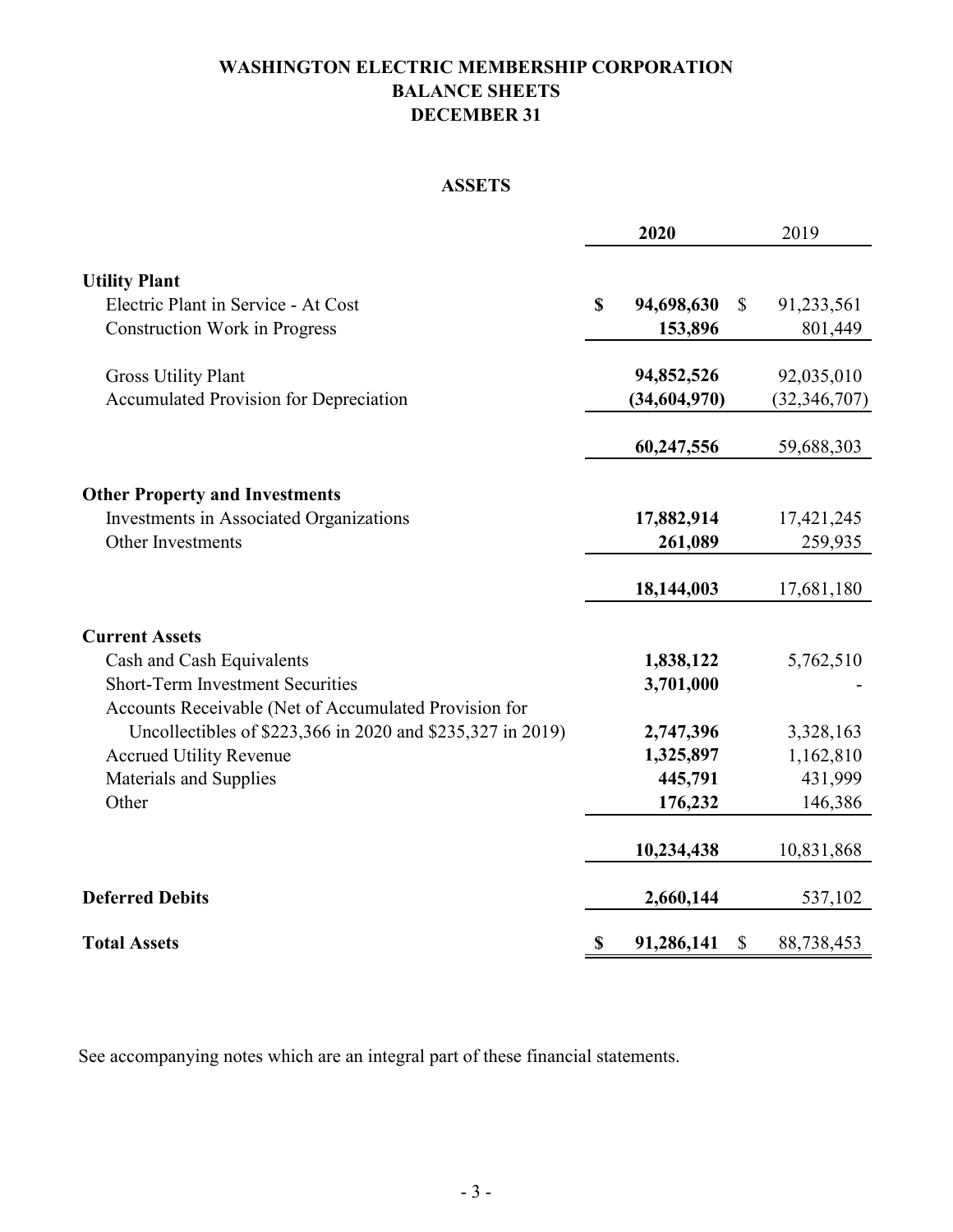# **WASHINGTON ELECTRIC MEMBERSHIP CORPORATION BALANCE SHEETS DECEMBER 31**

#### **ASSETS**

|                                                            | 2020             |              | 2019           |
|------------------------------------------------------------|------------------|--------------|----------------|
| <b>Utility Plant</b>                                       |                  |              |                |
| Electric Plant in Service - At Cost                        | \$               | $\mathbb{S}$ |                |
|                                                            | 94,698,630       |              | 91,233,561     |
| <b>Construction Work in Progress</b>                       | 153,896          |              | 801,449        |
| <b>Gross Utility Plant</b>                                 | 94,852,526       |              | 92,035,010     |
| <b>Accumulated Provision for Depreciation</b>              | (34, 604, 970)   |              | (32, 346, 707) |
|                                                            | 60,247,556       |              | 59,688,303     |
|                                                            |                  |              |                |
| <b>Other Property and Investments</b>                      |                  |              |                |
| Investments in Associated Organizations                    | 17,882,914       |              | 17,421,245     |
| Other Investments                                          | 261,089          |              | 259,935        |
|                                                            | 18,144,003       |              | 17,681,180     |
| <b>Current Assets</b>                                      |                  |              |                |
| Cash and Cash Equivalents                                  | 1,838,122        |              | 5,762,510      |
| <b>Short-Term Investment Securities</b>                    | 3,701,000        |              |                |
| Accounts Receivable (Net of Accumulated Provision for      |                  |              |                |
| Uncollectibles of \$223,366 in 2020 and \$235,327 in 2019) | 2,747,396        |              | 3,328,163      |
| <b>Accrued Utility Revenue</b>                             | 1,325,897        |              | 1,162,810      |
| Materials and Supplies                                     | 445,791          |              | 431,999        |
| Other                                                      | 176,232          |              | 146,386        |
|                                                            | 10,234,438       |              | 10,831,868     |
| <b>Deferred Debits</b>                                     | 2,660,144        |              | 537,102        |
| <b>Total Assets</b>                                        | \$<br>91,286,141 | \$           | 88,738,453     |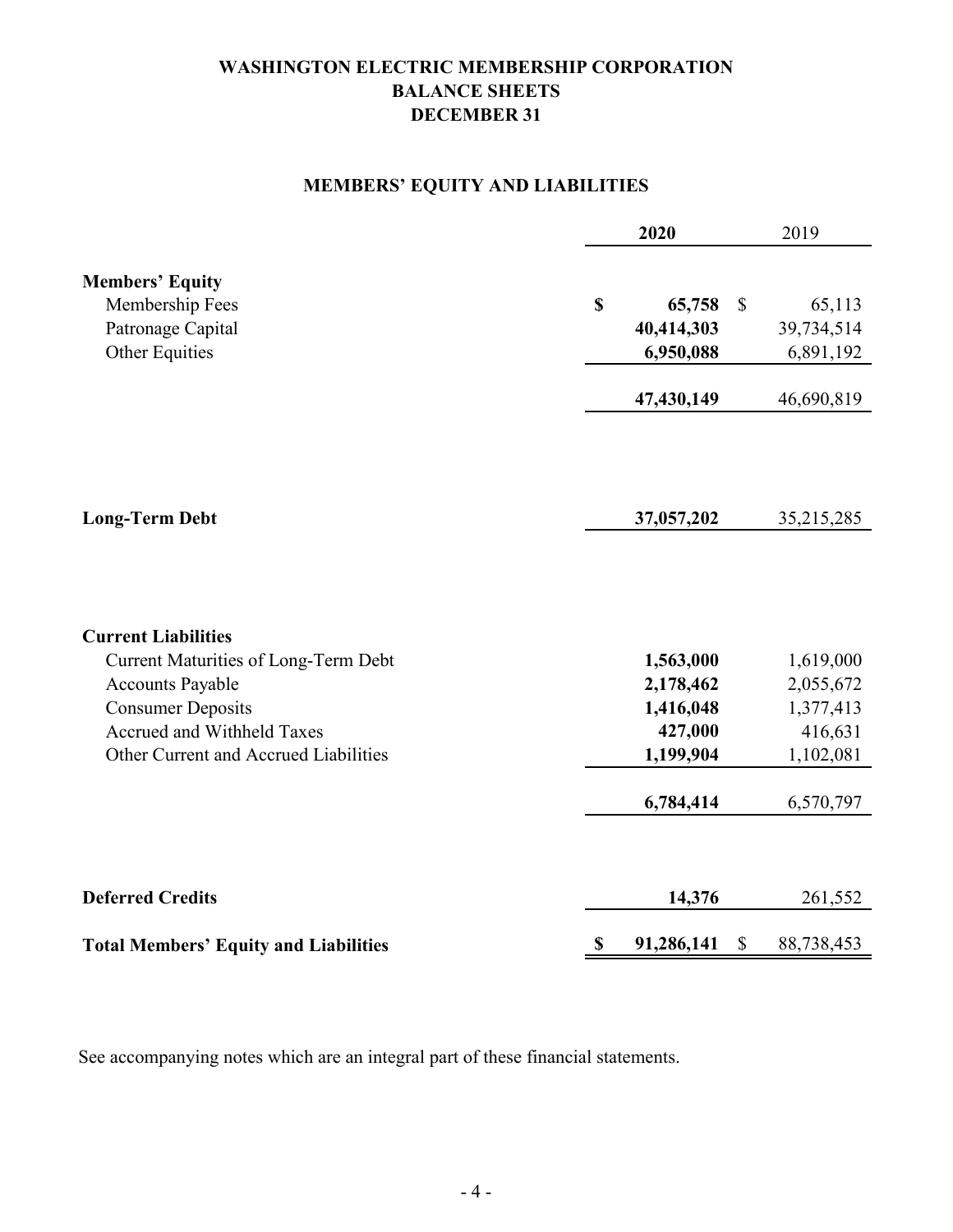# **WASHINGTON ELECTRIC MEMBERSHIP CORPORATION BALANCE SHEETS DECEMBER 31**

# **MEMBERS' EQUITY AND LIABILITIES**

|                                                                                                                                                                                                         | 2020                                                        | 2019                                                        |
|---------------------------------------------------------------------------------------------------------------------------------------------------------------------------------------------------------|-------------------------------------------------------------|-------------------------------------------------------------|
| <b>Members' Equity</b><br>Membership Fees<br>Patronage Capital<br><b>Other Equities</b>                                                                                                                 | $\mathbf S$<br>65,758<br>40,414,303<br>6,950,088            | 65,113<br>$\mathbb{S}$<br>39,734,514<br>6,891,192           |
| <b>Long-Term Debt</b>                                                                                                                                                                                   | 47,430,149<br>37,057,202                                    | 46,690,819<br>35,215,285                                    |
| <b>Current Liabilities</b><br><b>Current Maturities of Long-Term Debt</b><br><b>Accounts Payable</b><br><b>Consumer Deposits</b><br>Accrued and Withheld Taxes<br>Other Current and Accrued Liabilities | 1,563,000<br>2,178,462<br>1,416,048<br>427,000<br>1,199,904 | 1,619,000<br>2,055,672<br>1,377,413<br>416,631<br>1,102,081 |
|                                                                                                                                                                                                         | 6,784,414                                                   | 6,570,797                                                   |
| <b>Deferred Credits</b>                                                                                                                                                                                 | 14,376                                                      | 261,552                                                     |
| <b>Total Members' Equity and Liabilities</b>                                                                                                                                                            | \$<br>91,286,141                                            | \$<br>88,738,453                                            |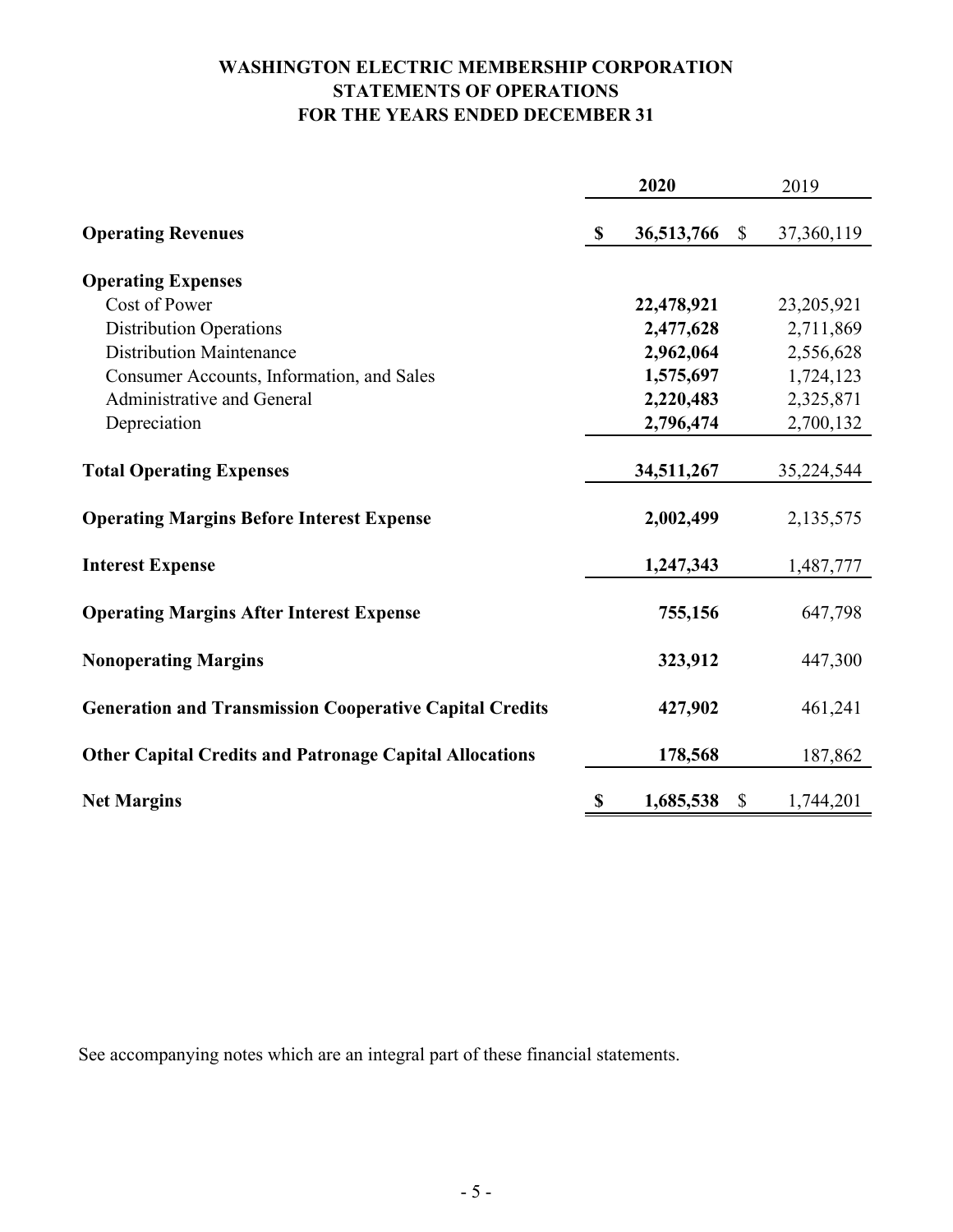# **WASHINGTON ELECTRIC MEMBERSHIP CORPORATION STATEMENTS OF OPERATIONS FOR THE YEARS ENDED DECEMBER 31**

|                                                                |               | 2020       |              | 2019       |
|----------------------------------------------------------------|---------------|------------|--------------|------------|
| <b>Operating Revenues</b>                                      | $\mathbf{\$}$ | 36,513,766 | $\mathbb{S}$ | 37,360,119 |
| <b>Operating Expenses</b>                                      |               |            |              |            |
| Cost of Power                                                  |               | 22,478,921 |              | 23,205,921 |
| <b>Distribution Operations</b>                                 |               | 2,477,628  |              | 2,711,869  |
| <b>Distribution Maintenance</b>                                |               | 2,962,064  |              | 2,556,628  |
| Consumer Accounts, Information, and Sales                      |               | 1,575,697  |              | 1,724,123  |
| Administrative and General                                     |               | 2,220,483  |              | 2,325,871  |
| Depreciation                                                   |               | 2,796,474  |              | 2,700,132  |
| <b>Total Operating Expenses</b>                                |               | 34,511,267 |              | 35,224,544 |
| <b>Operating Margins Before Interest Expense</b>               |               | 2,002,499  |              | 2,135,575  |
| <b>Interest Expense</b>                                        |               | 1,247,343  |              | 1,487,777  |
| <b>Operating Margins After Interest Expense</b>                |               | 755,156    |              | 647,798    |
| <b>Nonoperating Margins</b>                                    |               | 323,912    |              | 447,300    |
| <b>Generation and Transmission Cooperative Capital Credits</b> |               | 427,902    |              | 461,241    |
| <b>Other Capital Credits and Patronage Capital Allocations</b> |               | 178,568    |              | 187,862    |
| <b>Net Margins</b>                                             | \$            | 1,685,538  | \$           | 1,744,201  |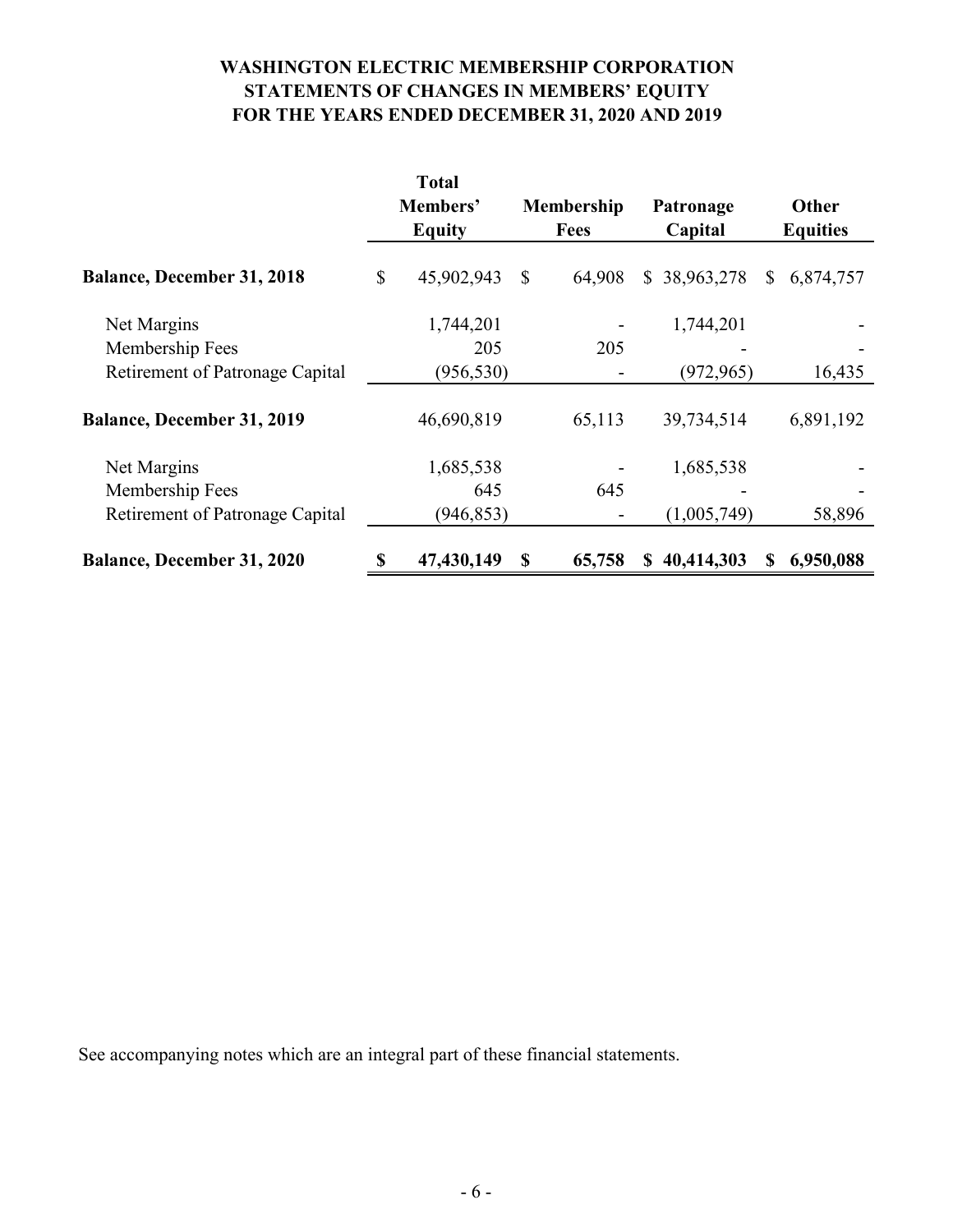# **WASHINGTON ELECTRIC MEMBERSHIP CORPORATION STATEMENTS OF CHANGES IN MEMBERS' EQUITY FOR THE YEARS ENDED DECEMBER 31, 2020 AND 2019**

|                                   | <b>Total</b><br>Members'<br><b>Equity</b> |              | <b>Membership</b><br><b>Fees</b> | <b>Patronage</b><br>Capital | Other<br><b>Equities</b>  |
|-----------------------------------|-------------------------------------------|--------------|----------------------------------|-----------------------------|---------------------------|
| <b>Balance, December 31, 2018</b> | \$<br>45,902,943                          | $\mathbb{S}$ | 64,908                           | 38,963,278<br>$\mathbb{S}$  | 6,874,757<br><sup>S</sup> |
| Net Margins                       | 1,744,201                                 |              |                                  | 1,744,201                   |                           |
| Membership Fees                   | 205                                       |              | 205                              |                             |                           |
| Retirement of Patronage Capital   | (956, 530)                                |              |                                  | (972, 965)                  | 16,435                    |
| <b>Balance, December 31, 2019</b> | 46,690,819                                |              | 65,113                           | 39,734,514                  | 6,891,192                 |
| Net Margins                       | 1,685,538                                 |              |                                  | 1,685,538                   |                           |
| Membership Fees                   | 645                                       |              | 645                              |                             |                           |
| Retirement of Patronage Capital   | (946, 853)                                |              |                                  | (1,005,749)                 | 58,896                    |
| <b>Balance, December 31, 2020</b> | \$<br>47,430,149                          | <b>S</b>     | 65,758                           | 40,414,303<br>S             | 6,950,088<br>S            |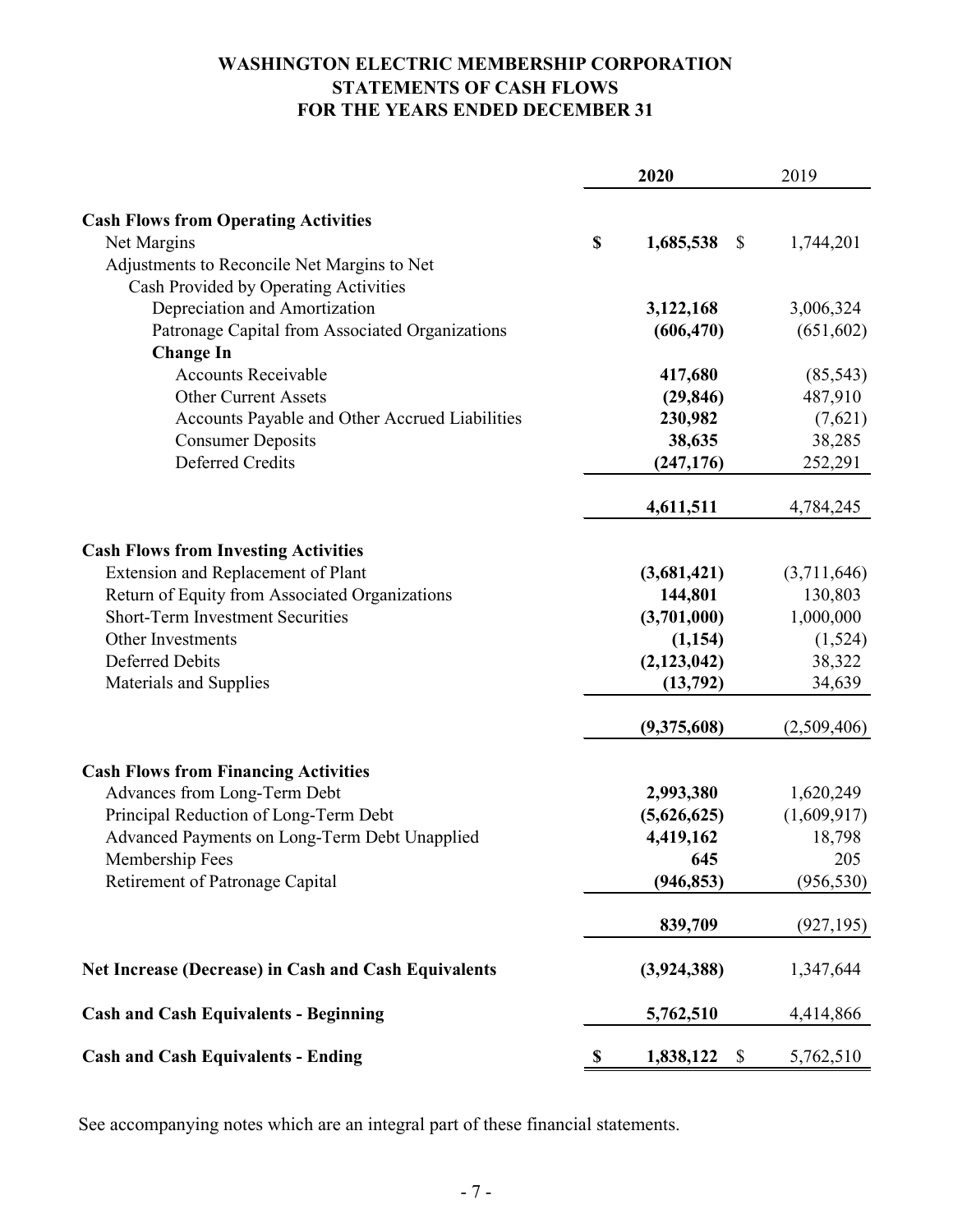# **WASHINGTON ELECTRIC MEMBERSHIP CORPORATION STATEMENTS OF CASH FLOWS FOR THE YEARS ENDED DECEMBER 31**

|                                                             | 2020                             | 2019        |
|-------------------------------------------------------------|----------------------------------|-------------|
| <b>Cash Flows from Operating Activities</b>                 |                                  |             |
| Net Margins                                                 | \$<br>1,685,538<br>$\mathcal{S}$ | 1,744,201   |
| Adjustments to Reconcile Net Margins to Net                 |                                  |             |
| Cash Provided by Operating Activities                       |                                  |             |
| Depreciation and Amortization                               | 3,122,168                        | 3,006,324   |
| Patronage Capital from Associated Organizations             | (606, 470)                       | (651, 602)  |
| <b>Change In</b>                                            |                                  |             |
| <b>Accounts Receivable</b>                                  | 417,680                          | (85, 543)   |
| <b>Other Current Assets</b>                                 | (29, 846)                        | 487,910     |
| Accounts Payable and Other Accrued Liabilities              | 230,982                          | (7,621)     |
| <b>Consumer Deposits</b>                                    | 38,635                           | 38,285      |
| <b>Deferred Credits</b>                                     | (247, 176)                       | 252,291     |
|                                                             | 4,611,511                        | 4,784,245   |
| <b>Cash Flows from Investing Activities</b>                 |                                  |             |
| Extension and Replacement of Plant                          | (3,681,421)                      | (3,711,646) |
| Return of Equity from Associated Organizations              | 144,801                          | 130,803     |
| <b>Short-Term Investment Securities</b>                     | (3,701,000)                      | 1,000,000   |
| Other Investments                                           | (1, 154)                         | (1,524)     |
| <b>Deferred Debits</b>                                      | (2,123,042)                      | 38,322      |
| Materials and Supplies                                      | (13,792)                         | 34,639      |
|                                                             | (9,375,608)                      | (2,509,406) |
| <b>Cash Flows from Financing Activities</b>                 |                                  |             |
| Advances from Long-Term Debt                                | 2,993,380                        | 1,620,249   |
| Principal Reduction of Long-Term Debt                       | (5,626,625)                      | (1,609,917) |
| Advanced Payments on Long-Term Debt Unapplied               | 4,419,162                        | 18,798      |
| Membership Fees                                             | 645                              | 205         |
| Retirement of Patronage Capital                             | (946, 853)                       | (956, 530)  |
|                                                             | 839,709                          | (927, 195)  |
| <b>Net Increase (Decrease) in Cash and Cash Equivalents</b> | (3,924,388)                      | 1,347,644   |
| <b>Cash and Cash Equivalents - Beginning</b>                | 5,762,510                        | 4,414,866   |
| <b>Cash and Cash Equivalents - Ending</b>                   | \$<br>1,838,122<br>\$            | 5,762,510   |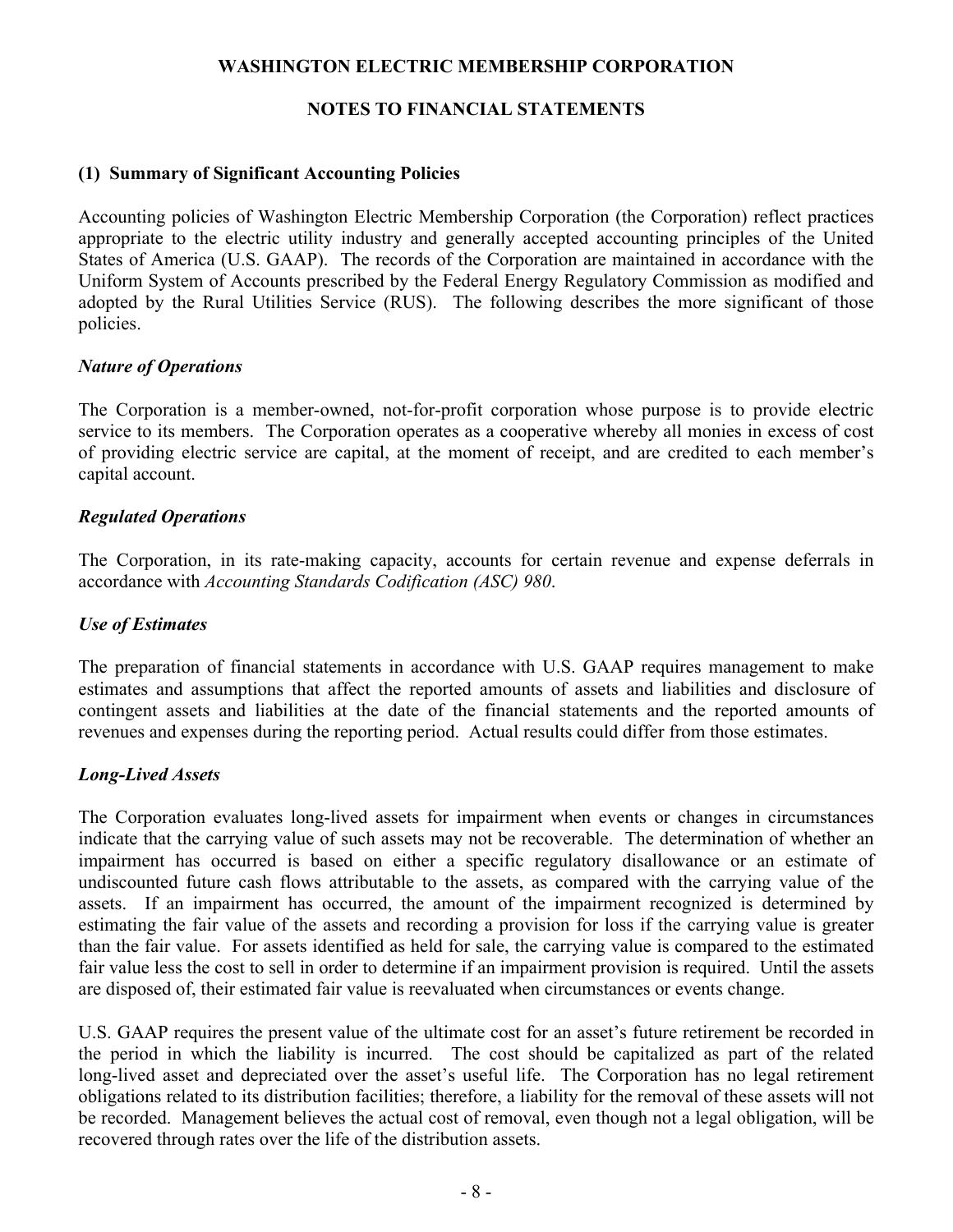### **WASHINGTON ELECTRIC MEMBERSHIP CORPORATION**

## **NOTES TO FINANCIAL STATEMENTS**

### **(1) Summary of Significant Accounting Policies**

Accounting policies of Washington Electric Membership Corporation (the Corporation) reflect practices appropriate to the electric utility industry and generally accepted accounting principles of the United States of America (U.S. GAAP). The records of the Corporation are maintained in accordance with the Uniform System of Accounts prescribed by the Federal Energy Regulatory Commission as modified and adopted by the Rural Utilities Service (RUS). The following describes the more significant of those policies.

### *Nature of Operations*

The Corporation is a member-owned, not-for-profit corporation whose purpose is to provide electric service to its members. The Corporation operates as a cooperative whereby all monies in excess of cost of providing electric service are capital, at the moment of receipt, and are credited to each member's capital account.

### *Regulated Operations*

The Corporation, in its rate-making capacity, accounts for certain revenue and expense deferrals in accordance with *Accounting Standards Codification (ASC) 980*.

### *Use of Estimates*

The preparation of financial statements in accordance with U.S. GAAP requires management to make estimates and assumptions that affect the reported amounts of assets and liabilities and disclosure of contingent assets and liabilities at the date of the financial statements and the reported amounts of revenues and expenses during the reporting period. Actual results could differ from those estimates.

### *Long-Lived Assets*

The Corporation evaluates long-lived assets for impairment when events or changes in circumstances indicate that the carrying value of such assets may not be recoverable. The determination of whether an impairment has occurred is based on either a specific regulatory disallowance or an estimate of undiscounted future cash flows attributable to the assets, as compared with the carrying value of the assets. If an impairment has occurred, the amount of the impairment recognized is determined by estimating the fair value of the assets and recording a provision for loss if the carrying value is greater than the fair value. For assets identified as held for sale, the carrying value is compared to the estimated fair value less the cost to sell in order to determine if an impairment provision is required. Until the assets are disposed of, their estimated fair value is reevaluated when circumstances or events change.

U.S. GAAP requires the present value of the ultimate cost for an asset's future retirement be recorded in the period in which the liability is incurred. The cost should be capitalized as part of the related long-lived asset and depreciated over the asset's useful life. The Corporation has no legal retirement obligations related to its distribution facilities; therefore, a liability for the removal of these assets will not be recorded. Management believes the actual cost of removal, even though not a legal obligation, will be recovered through rates over the life of the distribution assets.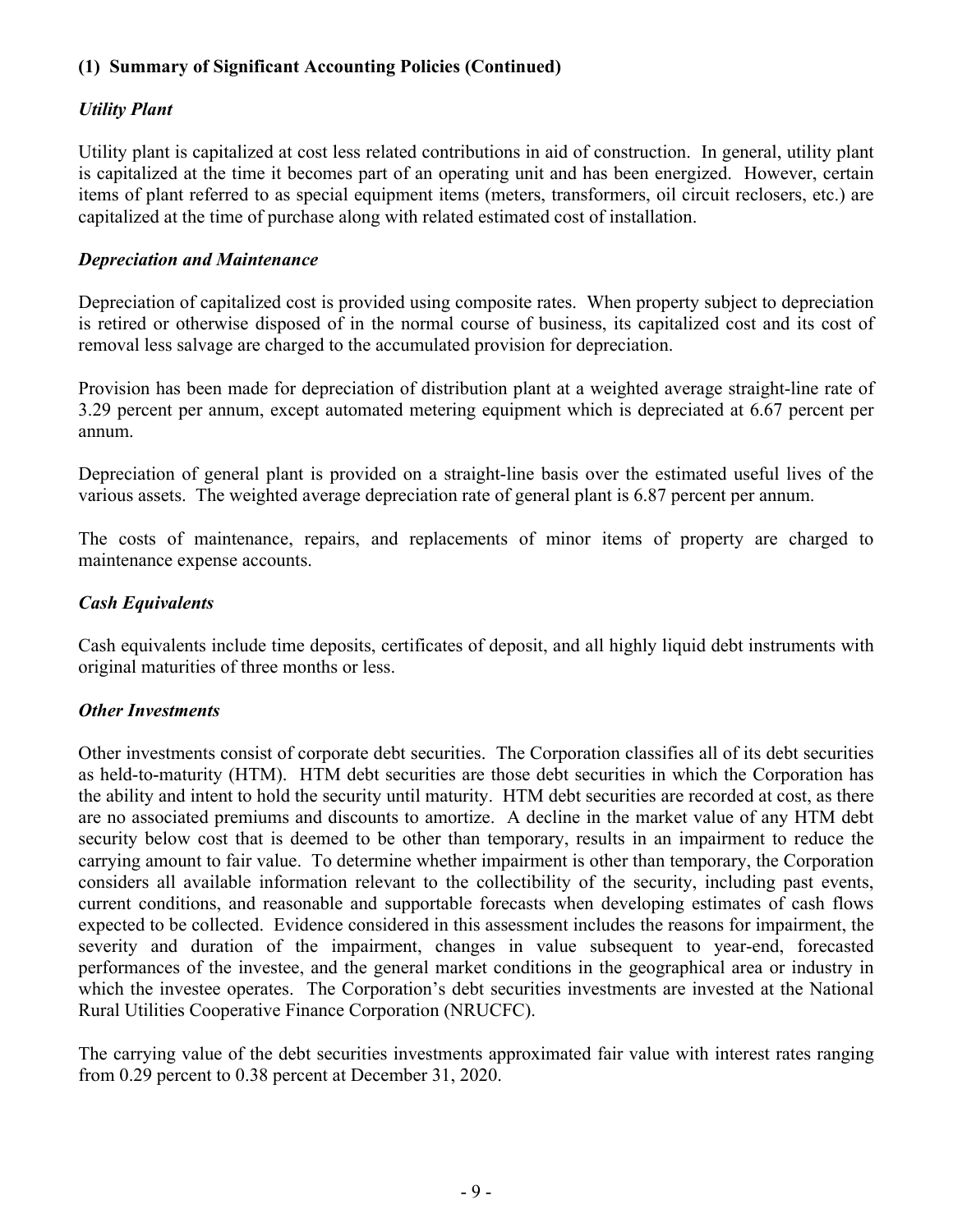# *Utility Plant*

Utility plant is capitalized at cost less related contributions in aid of construction. In general, utility plant is capitalized at the time it becomes part of an operating unit and has been energized. However, certain items of plant referred to as special equipment items (meters, transformers, oil circuit reclosers, etc.) are capitalized at the time of purchase along with related estimated cost of installation.

## *Depreciation and Maintenance*

Depreciation of capitalized cost is provided using composite rates. When property subject to depreciation is retired or otherwise disposed of in the normal course of business, its capitalized cost and its cost of removal less salvage are charged to the accumulated provision for depreciation.

Provision has been made for depreciation of distribution plant at a weighted average straight-line rate of 3.29 percent per annum, except automated metering equipment which is depreciated at 6.67 percent per annum.

Depreciation of general plant is provided on a straight-line basis over the estimated useful lives of the various assets. The weighted average depreciation rate of general plant is 6.87 percent per annum.

The costs of maintenance, repairs, and replacements of minor items of property are charged to maintenance expense accounts.

# *Cash Equivalents*

Cash equivalents include time deposits, certificates of deposit, and all highly liquid debt instruments with original maturities of three months or less.

## *Other Investments*

Other investments consist of corporate debt securities. The Corporation classifies all of its debt securities as held-to-maturity (HTM). HTM debt securities are those debt securities in which the Corporation has the ability and intent to hold the security until maturity. HTM debt securities are recorded at cost, as there are no associated premiums and discounts to amortize. A decline in the market value of any HTM debt security below cost that is deemed to be other than temporary, results in an impairment to reduce the carrying amount to fair value. To determine whether impairment is other than temporary, the Corporation considers all available information relevant to the collectibility of the security, including past events, current conditions, and reasonable and supportable forecasts when developing estimates of cash flows expected to be collected. Evidence considered in this assessment includes the reasons for impairment, the severity and duration of the impairment, changes in value subsequent to year-end, forecasted performances of the investee, and the general market conditions in the geographical area or industry in which the investee operates. The Corporation's debt securities investments are invested at the National Rural Utilities Cooperative Finance Corporation (NRUCFC).

The carrying value of the debt securities investments approximated fair value with interest rates ranging from 0.29 percent to 0.38 percent at December 31, 2020.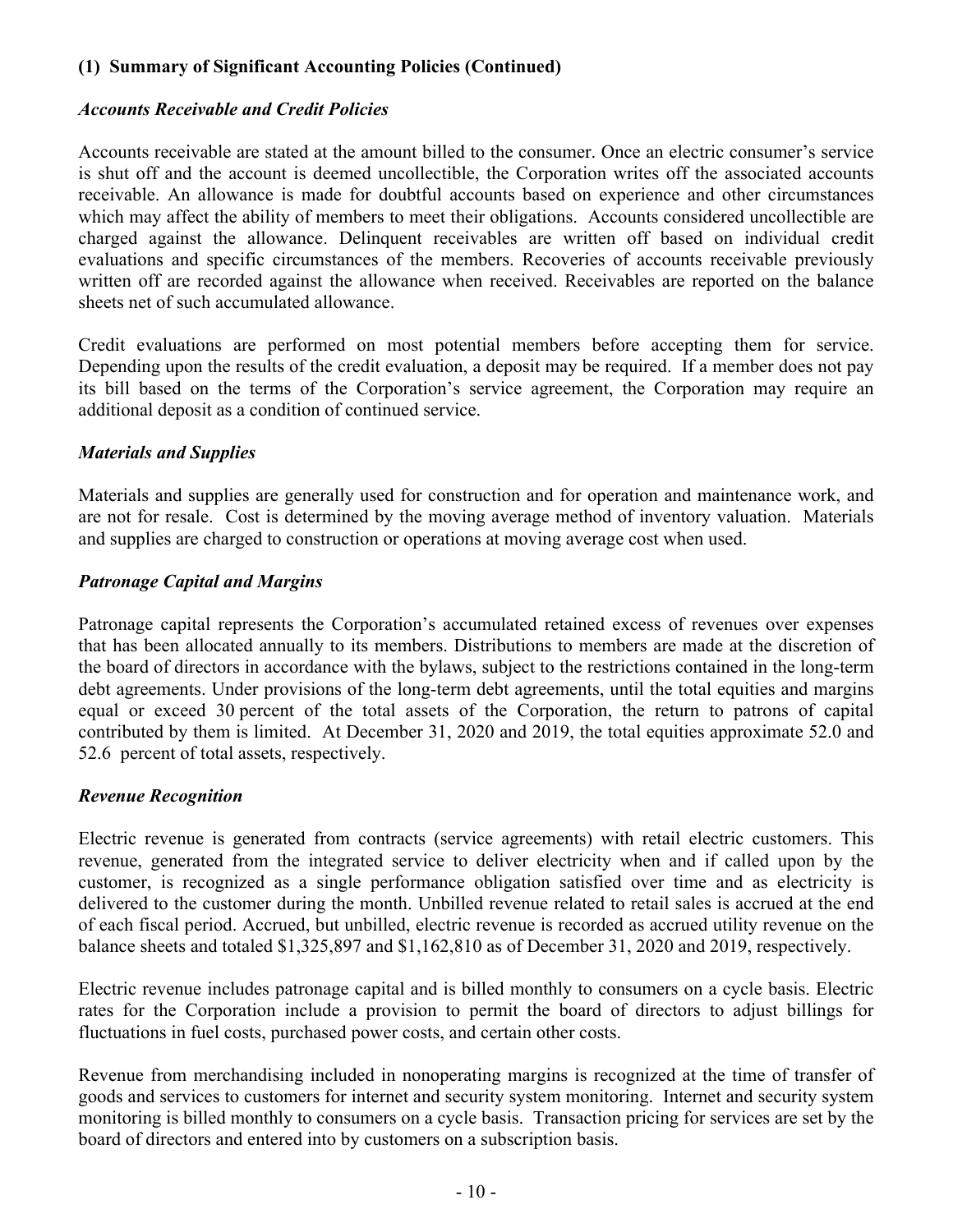### *Accounts Receivable and Credit Policies*

Accounts receivable are stated at the amount billed to the consumer. Once an electric consumer's service is shut off and the account is deemed uncollectible, the Corporation writes off the associated accounts receivable. An allowance is made for doubtful accounts based on experience and other circumstances which may affect the ability of members to meet their obligations. Accounts considered uncollectible are charged against the allowance. Delinquent receivables are written off based on individual credit evaluations and specific circumstances of the members. Recoveries of accounts receivable previously written off are recorded against the allowance when received. Receivables are reported on the balance sheets net of such accumulated allowance.

Credit evaluations are performed on most potential members before accepting them for service. Depending upon the results of the credit evaluation, a deposit may be required. If a member does not pay its bill based on the terms of the Corporation's service agreement, the Corporation may require an additional deposit as a condition of continued service.

### *Materials and Supplies*

Materials and supplies are generally used for construction and for operation and maintenance work, and are not for resale. Cost is determined by the moving average method of inventory valuation. Materials and supplies are charged to construction or operations at moving average cost when used.

### *Patronage Capital and Margins*

Patronage capital represents the Corporation's accumulated retained excess of revenues over expenses that has been allocated annually to its members. Distributions to members are made at the discretion of the board of directors in accordance with the bylaws, subject to the restrictions contained in the long-term debt agreements. Under provisions of the long-term debt agreements, until the total equities and margins equal or exceed 30 percent of the total assets of the Corporation, the return to patrons of capital contributed by them is limited. At December 31, 2020 and 2019, the total equities approximate 52.0 and 52.6 percent of total assets, respectively.

## *Revenue Recognition*

Electric revenue is generated from contracts (service agreements) with retail electric customers. This revenue, generated from the integrated service to deliver electricity when and if called upon by the customer, is recognized as a single performance obligation satisfied over time and as electricity is delivered to the customer during the month. Unbilled revenue related to retail sales is accrued at the end of each fiscal period. Accrued, but unbilled, electric revenue is recorded as accrued utility revenue on the balance sheets and totaled \$1,325,897 and \$1,162,810 as of December 31, 2020 and 2019, respectively.

Electric revenue includes patronage capital and is billed monthly to consumers on a cycle basis. Electric rates for the Corporation include a provision to permit the board of directors to adjust billings for fluctuations in fuel costs, purchased power costs, and certain other costs.

Revenue from merchandising included in nonoperating margins is recognized at the time of transfer of goods and services to customers for internet and security system monitoring. Internet and security system monitoring is billed monthly to consumers on a cycle basis. Transaction pricing for services are set by the board of directors and entered into by customers on a subscription basis.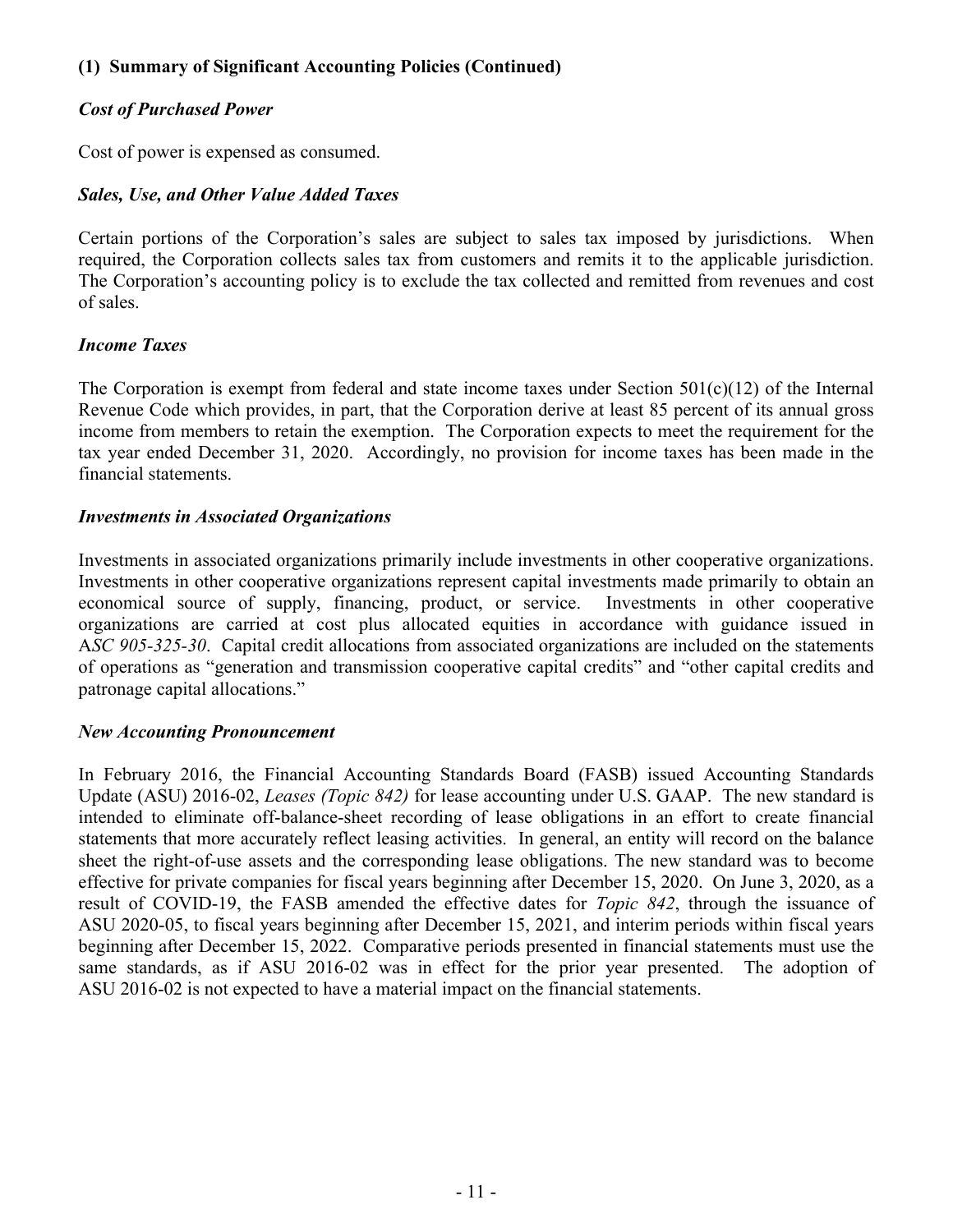# *Cost of Purchased Power*

Cost of power is expensed as consumed.

# *Sales, Use, and Other Value Added Taxes*

Certain portions of the Corporation's sales are subject to sales tax imposed by jurisdictions. When required, the Corporation collects sales tax from customers and remits it to the applicable jurisdiction. The Corporation's accounting policy is to exclude the tax collected and remitted from revenues and cost of sales.

# *Income Taxes*

The Corporation is exempt from federal and state income taxes under Section  $501(c)(12)$  of the Internal Revenue Code which provides, in part, that the Corporation derive at least 85 percent of its annual gross income from members to retain the exemption. The Corporation expects to meet the requirement for the tax year ended December 31, 2020. Accordingly, no provision for income taxes has been made in the financial statements.

# *Investments in Associated Organizations*

Investments in associated organizations primarily include investments in other cooperative organizations. Investments in other cooperative organizations represent capital investments made primarily to obtain an economical source of supply, financing, product, or service. Investments in other cooperative organizations are carried at cost plus allocated equities in accordance with guidance issued in A*SC 905-325-30*. Capital credit allocations from associated organizations are included on the statements of operations as "generation and transmission cooperative capital credits" and "other capital credits and patronage capital allocations."

## *New Accounting Pronouncement*

In February 2016, the Financial Accounting Standards Board (FASB) issued Accounting Standards Update (ASU) 2016-02, *Leases (Topic 842)* for lease accounting under U.S. GAAP. The new standard is intended to eliminate off-balance-sheet recording of lease obligations in an effort to create financial statements that more accurately reflect leasing activities. In general, an entity will record on the balance sheet the right-of-use assets and the corresponding lease obligations. The new standard was to become effective for private companies for fiscal years beginning after December 15, 2020. On June 3, 2020, as a result of COVID-19, the FASB amended the effective dates for *Topic 842*, through the issuance of ASU 2020-05, to fiscal years beginning after December 15, 2021, and interim periods within fiscal years beginning after December 15, 2022. Comparative periods presented in financial statements must use the same standards, as if ASU 2016-02 was in effect for the prior year presented. The adoption of ASU 2016-02 is not expected to have a material impact on the financial statements.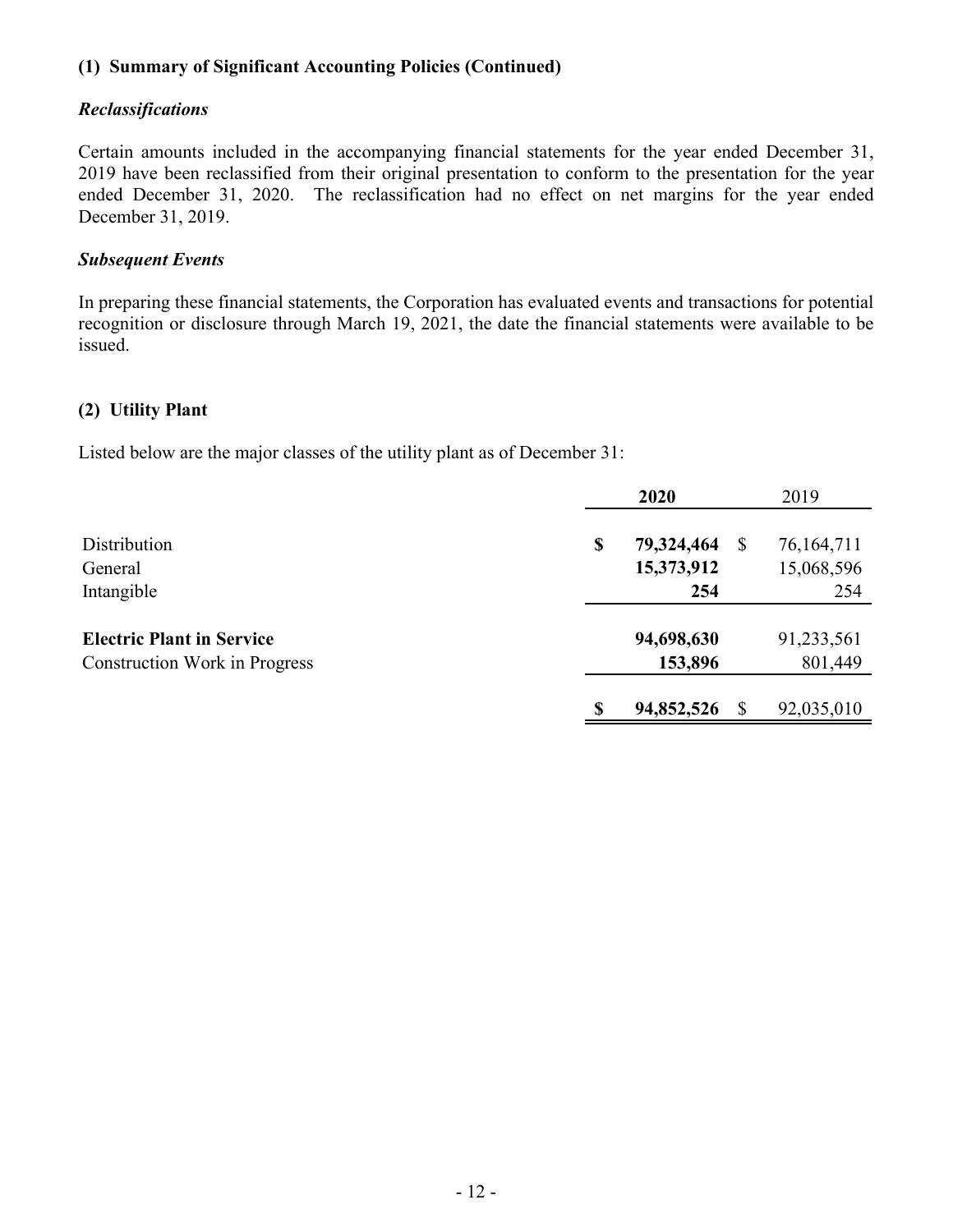### *Reclassifications*

Certain amounts included in the accompanying financial statements for the year ended December 31, 2019 have been reclassified from their original presentation to conform to the presentation for the year ended December 31, 2020. The reclassification had no effect on net margins for the year ended December 31, 2019.

### *Subsequent Events*

In preparing these financial statements, the Corporation has evaluated events and transactions for potential recognition or disclosure through March 19, 2021, the date the financial statements were available to be issued.

### **(2) Utility Plant**

Listed below are the major classes of the utility plant as of December 31:

|                                                                          | 2020                  | 2019                  |
|--------------------------------------------------------------------------|-----------------------|-----------------------|
| Distribution                                                             | 79,324,464<br>\$      | 76,164,711            |
| General                                                                  | 15,373,912            | 15,068,596            |
| Intangible                                                               | 254                   | 254                   |
| <b>Electric Plant in Service</b><br><b>Construction Work in Progress</b> | 94,698,630<br>153,896 | 91,233,561<br>801,449 |
|                                                                          | 94,852,526<br>\$      | 92,035,010            |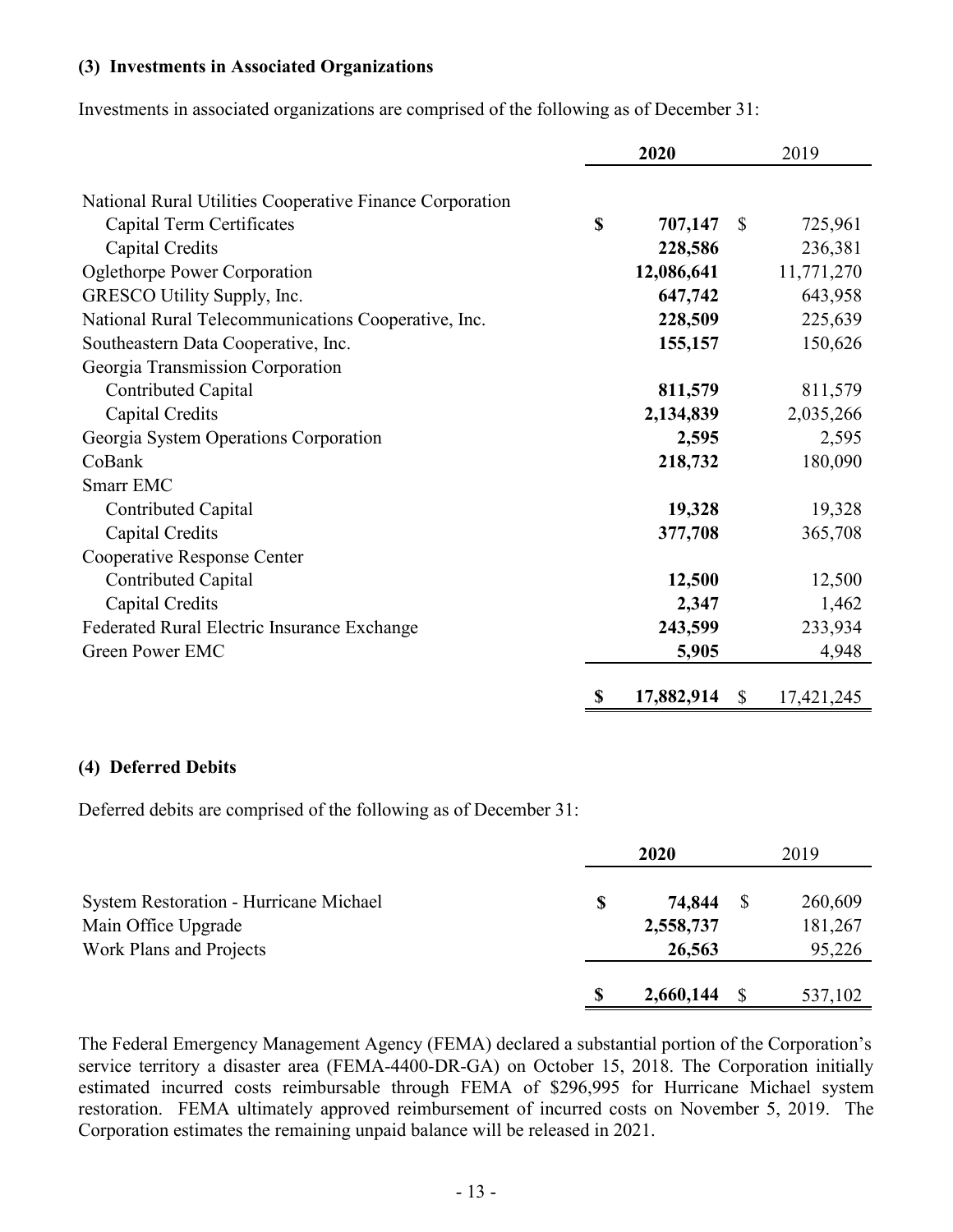### **(3) Investments in Associated Organizations**

Investments in associated organizations are comprised of the following as of December 31:

|                                                          | 2020             | 2019                       |
|----------------------------------------------------------|------------------|----------------------------|
|                                                          |                  |                            |
| National Rural Utilities Cooperative Finance Corporation |                  |                            |
| Capital Term Certificates                                | \$<br>707,147    | <sup>S</sup><br>725,961    |
| Capital Credits                                          | 228,586          | 236,381                    |
| Oglethorpe Power Corporation                             | 12,086,641       | 11,771,270                 |
| GRESCO Utility Supply, Inc.                              | 647,742          | 643,958                    |
| National Rural Telecommunications Cooperative, Inc.      | 228,509          | 225,639                    |
| Southeastern Data Cooperative, Inc.                      | 155,157          | 150,626                    |
| Georgia Transmission Corporation                         |                  |                            |
| Contributed Capital                                      | 811,579          | 811,579                    |
| Capital Credits                                          | 2,134,839        | 2,035,266                  |
| Georgia System Operations Corporation                    | 2,595            | 2,595                      |
| CoBank                                                   | 218,732          | 180,090                    |
| <b>Smarr EMC</b>                                         |                  |                            |
| Contributed Capital                                      | 19,328           | 19,328                     |
| Capital Credits                                          | 377,708          | 365,708                    |
| Cooperative Response Center                              |                  |                            |
| Contributed Capital                                      | 12,500           | 12,500                     |
| Capital Credits                                          | 2,347            | 1,462                      |
| Federated Rural Electric Insurance Exchange              | 243,599          | 233,934                    |
| <b>Green Power EMC</b>                                   | 5,905            | 4,948                      |
|                                                          | \$<br>17,882,914 | $\mathbb{S}$<br>17,421,245 |

### **(4) Deferred Debits**

Deferred debits are comprised of the following as of December 31:

|                                                                                                 | 2020 |                               | 2019                         |  |
|-------------------------------------------------------------------------------------------------|------|-------------------------------|------------------------------|--|
| <b>System Restoration - Hurricane Michael</b><br>Main Office Upgrade<br>Work Plans and Projects | \$   | 74,844<br>2,558,737<br>26,563 | 260,609<br>181,267<br>95,226 |  |
|                                                                                                 |      | 2,660,144                     | 537,102                      |  |

The Federal Emergency Management Agency (FEMA) declared a substantial portion of the Corporation's service territory a disaster area (FEMA-4400-DR-GA) on October 15, 2018. The Corporation initially estimated incurred costs reimbursable through FEMA of \$296,995 for Hurricane Michael system restoration. FEMA ultimately approved reimbursement of incurred costs on November 5, 2019. The Corporation estimates the remaining unpaid balance will be released in 2021.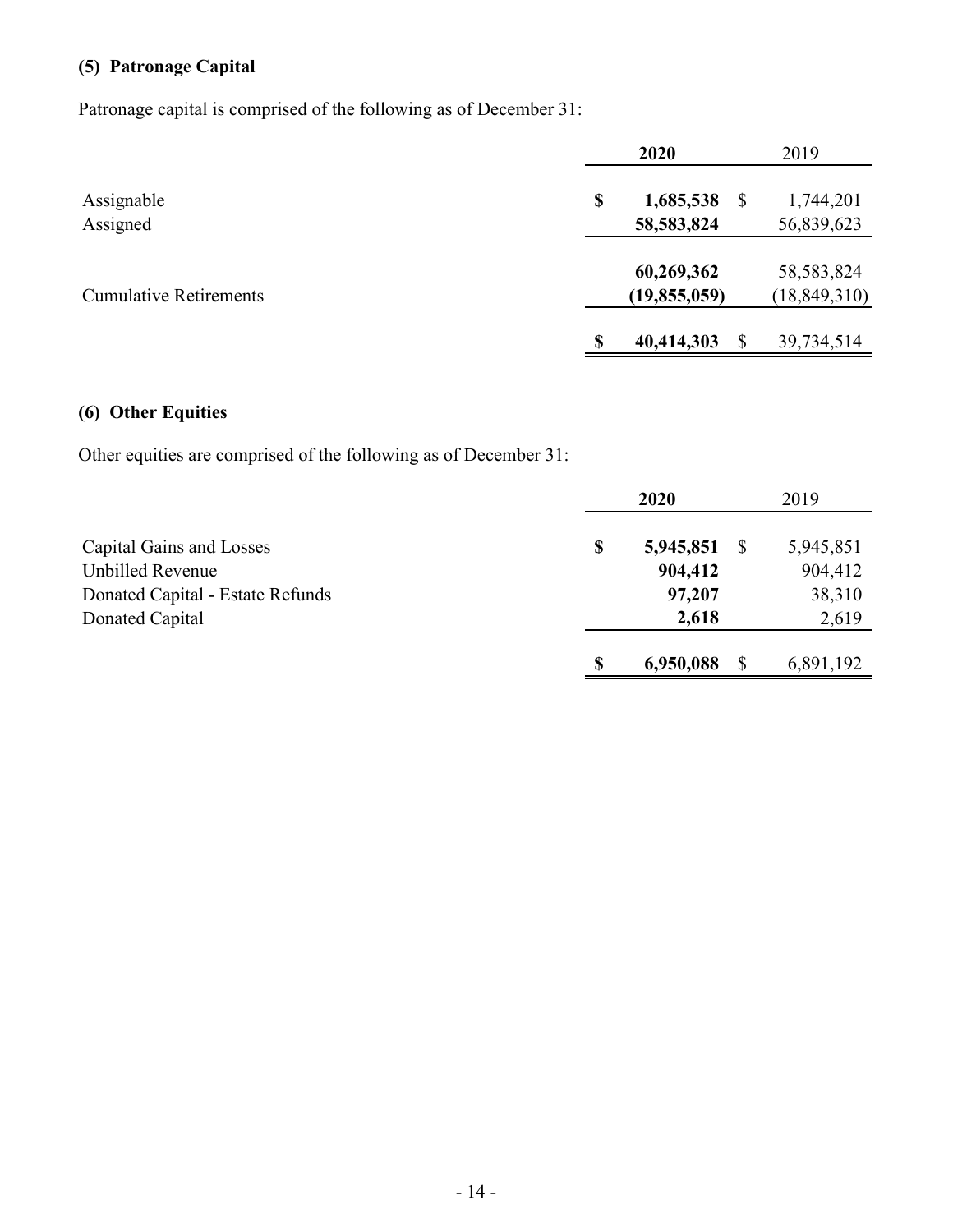# **(5) Patronage Capital**

Patronage capital is comprised of the following as of December 31:

|                               |    | 2020                         | 2019                           |
|-------------------------------|----|------------------------------|--------------------------------|
| Assignable<br>Assigned        | \$ | 1,685,538<br>58, 583, 824    | 1,744,201<br>56,839,623        |
| <b>Cumulative Retirements</b> |    | 60,269,362<br>(19, 855, 059) | 58, 583, 824<br>(18, 849, 310) |
|                               | S  | 40,414,303                   | 39,734,514                     |

# **(6) Other Equities**

Other equities are comprised of the following as of December 31:

|                                  |   | 2020      |  | 2019      |
|----------------------------------|---|-----------|--|-----------|
| Capital Gains and Losses         | S | 5,945,851 |  | 5,945,851 |
| <b>Unbilled Revenue</b>          |   | 904,412   |  | 904,412   |
| Donated Capital - Estate Refunds |   | 97,207    |  | 38,310    |
| Donated Capital                  |   | 2,618     |  | 2,619     |
|                                  |   | 6,950,088 |  | 6,891,192 |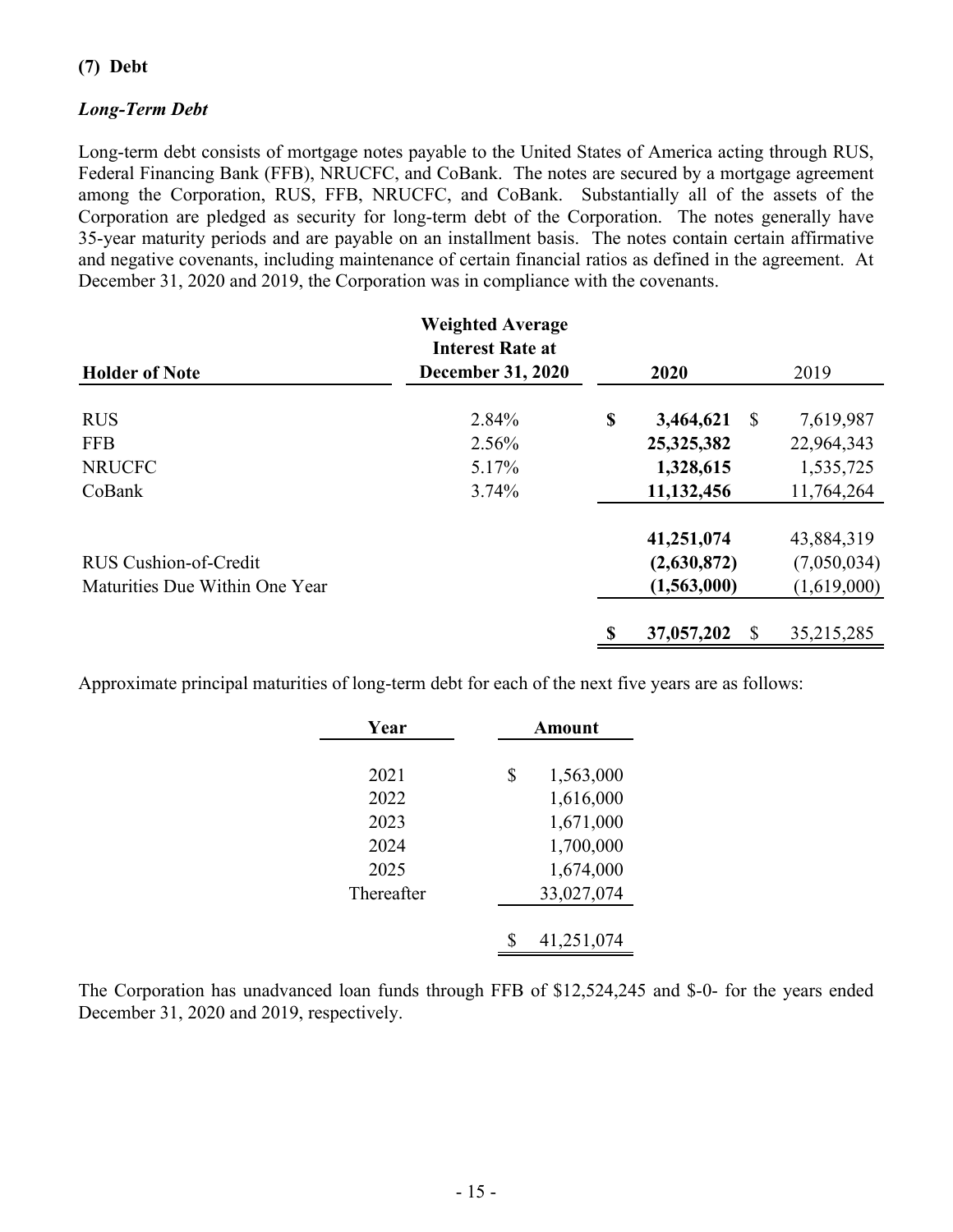# **(7) Debt**

# *Long-Term Debt*

Long-term debt consists of mortgage notes payable to the United States of America acting through RUS, Federal Financing Bank (FFB), NRUCFC, and CoBank. The notes are secured by a mortgage agreement among the Corporation, RUS, FFB, NRUCFC, and CoBank. Substantially all of the assets of the Corporation are pledged as security for long-term debt of the Corporation. The notes generally have 35-year maturity periods and are payable on an installment basis. The notes contain certain affirmative and negative covenants, including maintenance of certain financial ratios as defined in the agreement. At December 31, 2020 and 2019, the Corporation was in compliance with the covenants.

| <b>Holder of Note</b>          | <b>Weighted Average</b><br><b>Interest Rate at</b><br><b>December 31, 2020</b> | 2020                            | 2019        |
|--------------------------------|--------------------------------------------------------------------------------|---------------------------------|-------------|
|                                |                                                                                |                                 |             |
| <b>RUS</b>                     | 2.84%                                                                          | \$<br>3,464,621<br><sup>S</sup> | 7,619,987   |
| <b>FFB</b>                     | 2.56%                                                                          | 25,325,382                      | 22,964,343  |
| <b>NRUCFC</b>                  | 5.17%                                                                          | 1,328,615                       | 1,535,725   |
| CoBank                         | 3.74%                                                                          | 11,132,456                      | 11,764,264  |
|                                |                                                                                | 41,251,074                      | 43,884,319  |
| <b>RUS</b> Cushion-of-Credit   |                                                                                | (2,630,872)                     | (7,050,034) |
| Maturities Due Within One Year |                                                                                | (1,563,000)                     | (1,619,000) |
|                                |                                                                                | \$<br>37,057,202<br>\$          | 35,215,285  |

Approximate principal maturities of long-term debt for each of the next five years are as follows:

| Year       | Amount          |
|------------|-----------------|
|            |                 |
| 2021       | \$<br>1,563,000 |
| 2022       | 1,616,000       |
| 2023       | 1,671,000       |
| 2024       | 1,700,000       |
| 2025       | 1,674,000       |
| Thereafter | 33,027,074      |
|            |                 |
|            | 41,251,074      |

The Corporation has unadvanced loan funds through FFB of \$12,524,245 and \$-0- for the years ended December 31, 2020 and 2019, respectively.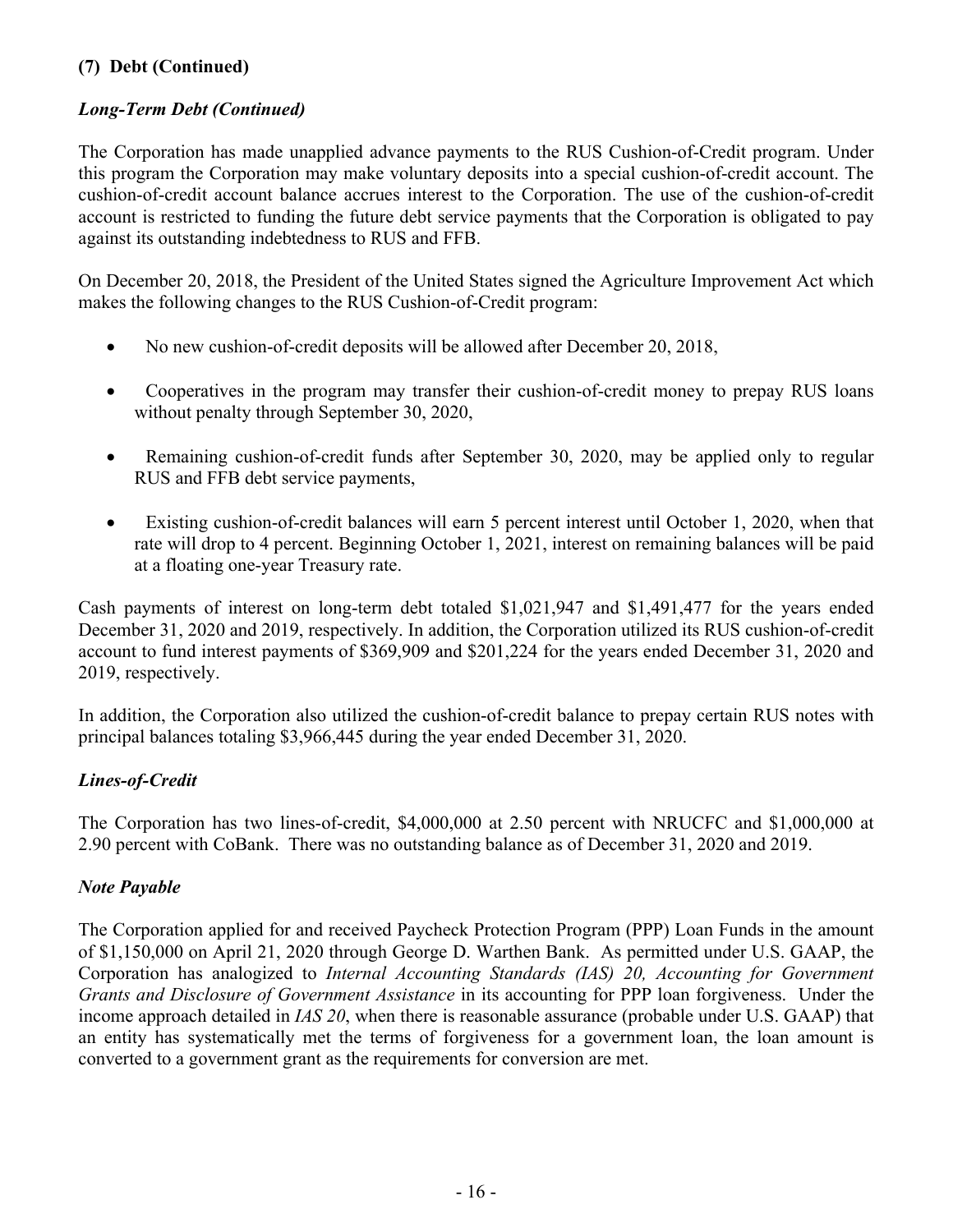# **(7) Debt (Continued)**

## *Long-Term Debt (Continued)*

The Corporation has made unapplied advance payments to the RUS Cushion-of-Credit program. Under this program the Corporation may make voluntary deposits into a special cushion-of-credit account. The cushion-of-credit account balance accrues interest to the Corporation. The use of the cushion-of-credit account is restricted to funding the future debt service payments that the Corporation is obligated to pay against its outstanding indebtedness to RUS and FFB.

On December 20, 2018, the President of the United States signed the Agriculture Improvement Act which makes the following changes to the RUS Cushion-of-Credit program:

- No new cushion-of-credit deposits will be allowed after December 20, 2018,
- Cooperatives in the program may transfer their cushion-of-credit money to prepay RUS loans without penalty through September 30, 2020,
- Remaining cushion-of-credit funds after September 30, 2020, may be applied only to regular RUS and FFB debt service payments,
- Existing cushion-of-credit balances will earn 5 percent interest until October 1, 2020, when that rate will drop to 4 percent. Beginning October 1, 2021, interest on remaining balances will be paid at a floating one-year Treasury rate.

Cash payments of interest on long-term debt totaled \$1,021,947 and \$1,491,477 for the years ended December 31, 2020 and 2019, respectively. In addition, the Corporation utilized its RUS cushion-of-credit account to fund interest payments of \$369,909 and \$201,224 for the years ended December 31, 2020 and 2019, respectively.

In addition, the Corporation also utilized the cushion-of-credit balance to prepay certain RUS notes with principal balances totaling \$3,966,445 during the year ended December 31, 2020.

# *Lines-of-Credit*

The Corporation has two lines-of-credit, \$4,000,000 at 2.50 percent with NRUCFC and \$1,000,000 at 2.90 percent with CoBank. There was no outstanding balance as of December 31, 2020 and 2019.

## *Note Payable*

The Corporation applied for and received Paycheck Protection Program (PPP) Loan Funds in the amount of \$1,150,000 on April 21, 2020 through George D. Warthen Bank. As permitted under U.S. GAAP, the Corporation has analogized to *Internal Accounting Standards (IAS) 20, Accounting for Government Grants and Disclosure of Government Assistance* in its accounting for PPP loan forgiveness. Under the income approach detailed in *IAS 20*, when there is reasonable assurance (probable under U.S. GAAP) that an entity has systematically met the terms of forgiveness for a government loan, the loan amount is converted to a government grant as the requirements for conversion are met.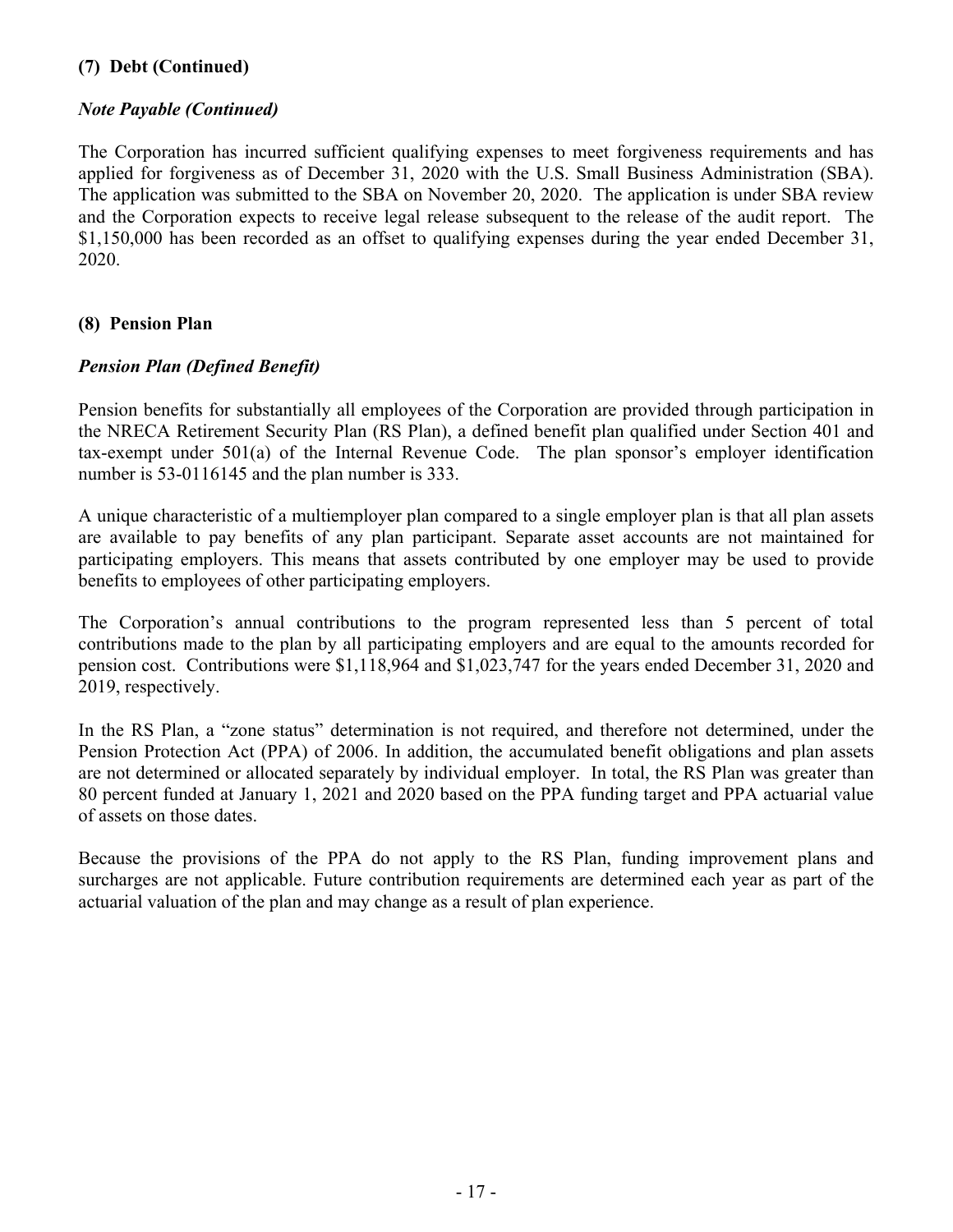## **(7) Debt (Continued)**

## *Note Payable (Continued)*

The Corporation has incurred sufficient qualifying expenses to meet forgiveness requirements and has applied for forgiveness as of December 31, 2020 with the U.S. Small Business Administration (SBA). The application was submitted to the SBA on November 20, 2020. The application is under SBA review and the Corporation expects to receive legal release subsequent to the release of the audit report. The \$1,150,000 has been recorded as an offset to qualifying expenses during the year ended December 31, 2020.

## **(8) Pension Plan**

### *Pension Plan (Defined Benefit)*

Pension benefits for substantially all employees of the Corporation are provided through participation in the NRECA Retirement Security Plan (RS Plan), a defined benefit plan qualified under Section 401 and tax-exempt under 501(a) of the Internal Revenue Code. The plan sponsor's employer identification number is 53-0116145 and the plan number is 333.

A unique characteristic of a multiemployer plan compared to a single employer plan is that all plan assets are available to pay benefits of any plan participant. Separate asset accounts are not maintained for participating employers. This means that assets contributed by one employer may be used to provide benefits to employees of other participating employers.

The Corporation's annual contributions to the program represented less than 5 percent of total contributions made to the plan by all participating employers and are equal to the amounts recorded for pension cost. Contributions were \$1,118,964 and \$1,023,747 for the years ended December 31, 2020 and 2019, respectively.

In the RS Plan, a "zone status" determination is not required, and therefore not determined, under the Pension Protection Act (PPA) of 2006. In addition, the accumulated benefit obligations and plan assets are not determined or allocated separately by individual employer. In total, the RS Plan was greater than 80 percent funded at January 1, 2021 and 2020 based on the PPA funding target and PPA actuarial value of assets on those dates.

Because the provisions of the PPA do not apply to the RS Plan, funding improvement plans and surcharges are not applicable. Future contribution requirements are determined each year as part of the actuarial valuation of the plan and may change as a result of plan experience.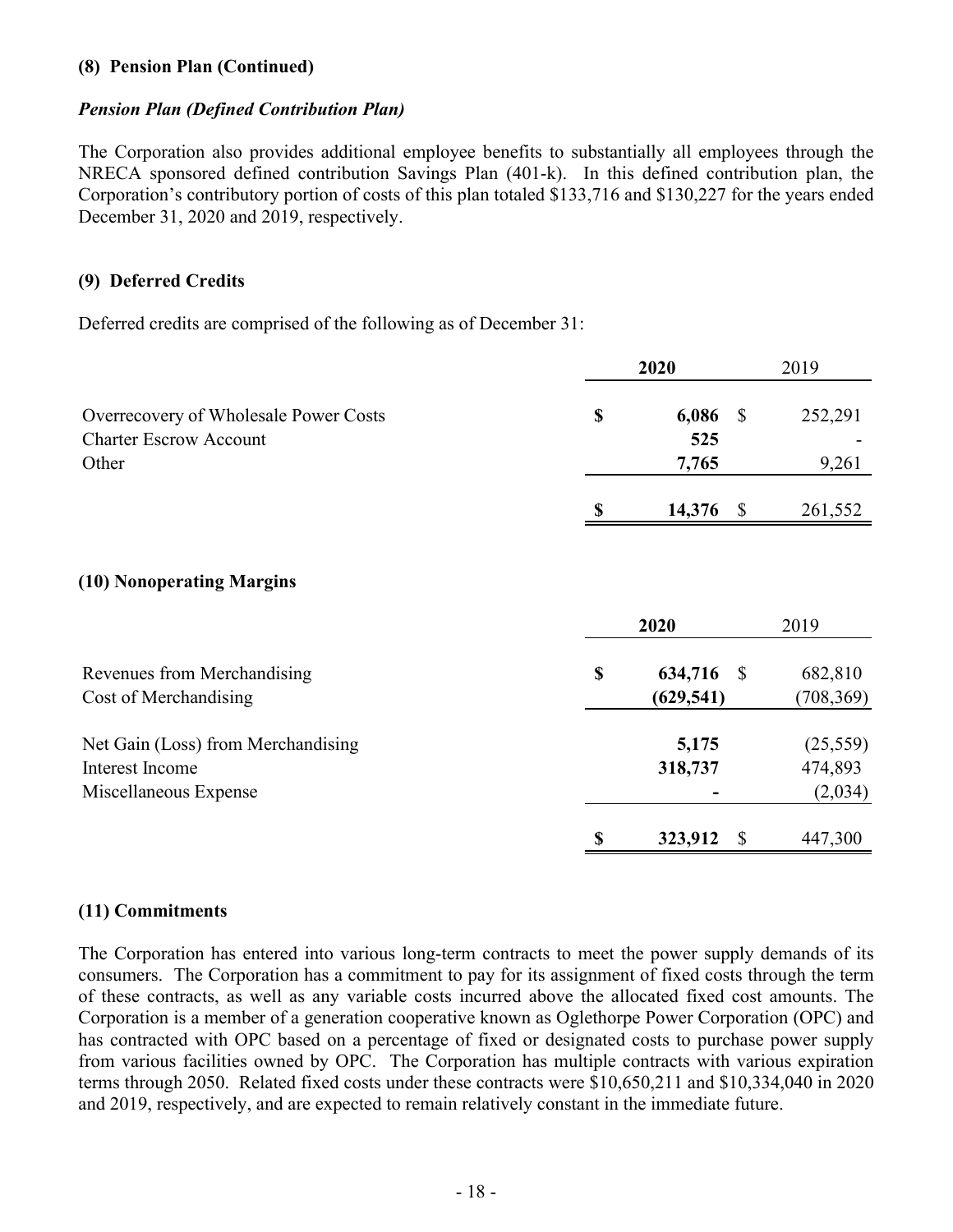### **(8) Pension Plan (Continued)**

## *Pension Plan (Defined Contribution Plan)*

The Corporation also provides additional employee benefits to substantially all employees through the NRECA sponsored defined contribution Savings Plan (401-k). In this defined contribution plan, the Corporation's contributory portion of costs of this plan totaled \$133,716 and \$130,227 for the years ended December 31, 2020 and 2019, respectively.

# **(9) Deferred Credits**

Deferred credits are comprised of the following as of December 31:

|                                                                                 | 2020     |                       |                           | 2019                           |  |
|---------------------------------------------------------------------------------|----------|-----------------------|---------------------------|--------------------------------|--|
| Overrecovery of Wholesale Power Costs<br><b>Charter Escrow Account</b><br>Other | <b>S</b> | 6,086<br>525<br>7,765 | $\mathcal{S}$             | 252,291<br>9,261               |  |
|                                                                                 |          | 14,376                | <b>\$</b>                 | 261,552                        |  |
| (10) Nonoperating Margins                                                       |          | 2020                  |                           | 2019                           |  |
| Revenues from Merchandising<br>Cost of Merchandising                            | <b>S</b> | 634,716<br>(629, 541) | - S                       | 682,810<br>(708, 369)          |  |
| Net Gain (Loss) from Merchandising<br>Interest Income<br>Miscellaneous Expense  |          | 5,175<br>318,737      |                           | (25,559)<br>474,893<br>(2,034) |  |
|                                                                                 | \$       | 323,912               | $\boldsymbol{\mathsf{S}}$ | 447,300                        |  |

## **(11) Commitments**

The Corporation has entered into various long-term contracts to meet the power supply demands of its consumers. The Corporation has a commitment to pay for its assignment of fixed costs through the term of these contracts, as well as any variable costs incurred above the allocated fixed cost amounts. The Corporation is a member of a generation cooperative known as Oglethorpe Power Corporation (OPC) and has contracted with OPC based on a percentage of fixed or designated costs to purchase power supply from various facilities owned by OPC. The Corporation has multiple contracts with various expiration terms through 2050. Related fixed costs under these contracts were \$10,650,211 and \$10,334,040 in 2020 and 2019, respectively, and are expected to remain relatively constant in the immediate future.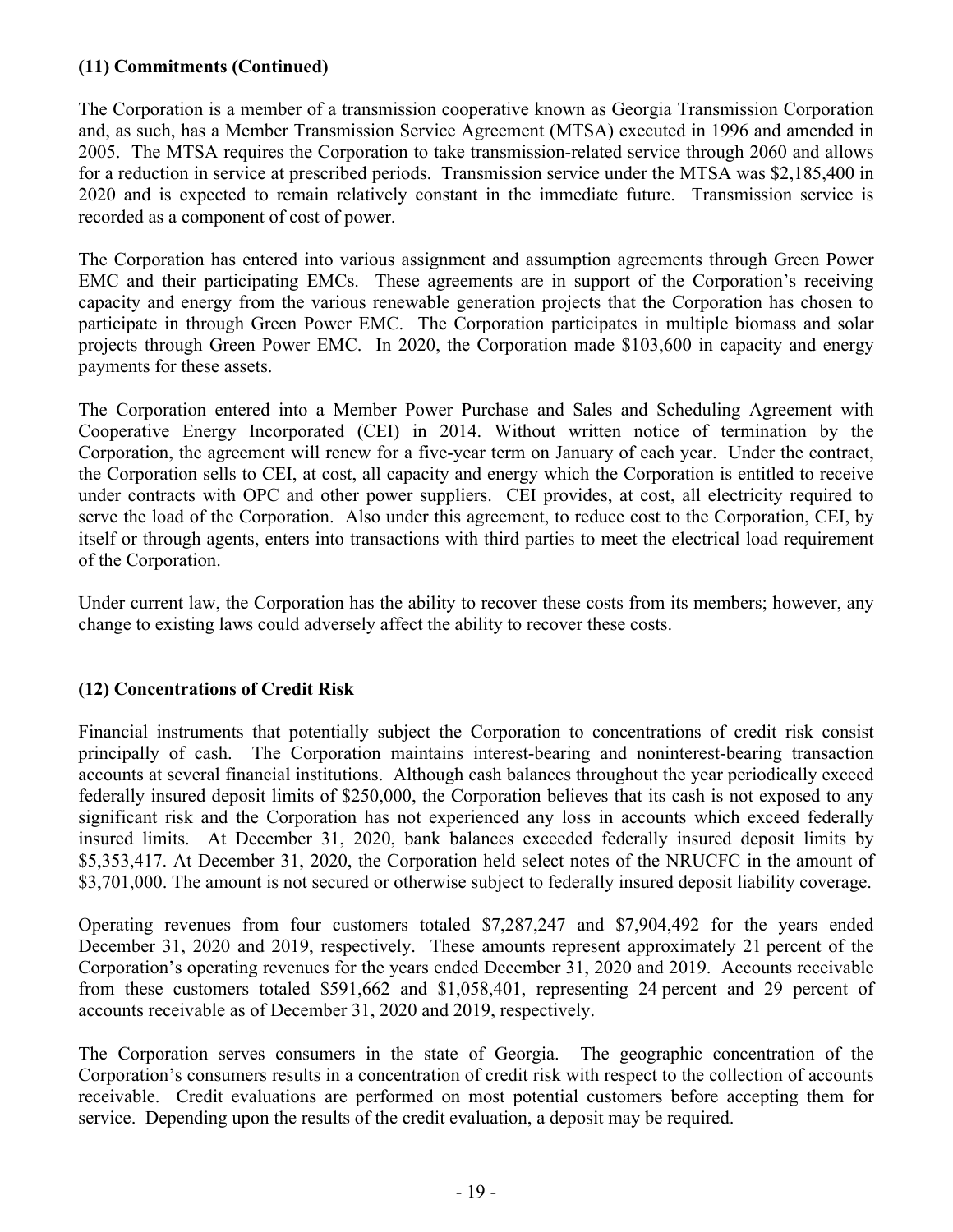## **(11) Commitments (Continued)**

The Corporation is a member of a transmission cooperative known as Georgia Transmission Corporation and, as such, has a Member Transmission Service Agreement (MTSA) executed in 1996 and amended in 2005. The MTSA requires the Corporation to take transmission-related service through 2060 and allows for a reduction in service at prescribed periods. Transmission service under the MTSA was \$2,185,400 in 2020 and is expected to remain relatively constant in the immediate future. Transmission service is recorded as a component of cost of power.

The Corporation has entered into various assignment and assumption agreements through Green Power EMC and their participating EMCs. These agreements are in support of the Corporation's receiving capacity and energy from the various renewable generation projects that the Corporation has chosen to participate in through Green Power EMC. The Corporation participates in multiple biomass and solar projects through Green Power EMC. In 2020, the Corporation made \$103,600 in capacity and energy payments for these assets.

The Corporation entered into a Member Power Purchase and Sales and Scheduling Agreement with Cooperative Energy Incorporated (CEI) in 2014. Without written notice of termination by the Corporation, the agreement will renew for a five-year term on January of each year. Under the contract, the Corporation sells to CEI, at cost, all capacity and energy which the Corporation is entitled to receive under contracts with OPC and other power suppliers. CEI provides, at cost, all electricity required to serve the load of the Corporation. Also under this agreement, to reduce cost to the Corporation, CEI, by itself or through agents, enters into transactions with third parties to meet the electrical load requirement of the Corporation.

Under current law, the Corporation has the ability to recover these costs from its members; however, any change to existing laws could adversely affect the ability to recover these costs.

# **(12) Concentrations of Credit Risk**

Financial instruments that potentially subject the Corporation to concentrations of credit risk consist principally of cash. The Corporation maintains interest-bearing and noninterest-bearing transaction accounts at several financial institutions. Although cash balances throughout the year periodically exceed federally insured deposit limits of \$250,000, the Corporation believes that its cash is not exposed to any significant risk and the Corporation has not experienced any loss in accounts which exceed federally insured limits. At December 31, 2020, bank balances exceeded federally insured deposit limits by \$5,353,417. At December 31, 2020, the Corporation held select notes of the NRUCFC in the amount of \$3,701,000. The amount is not secured or otherwise subject to federally insured deposit liability coverage.

Operating revenues from four customers totaled \$7,287,247 and \$7,904,492 for the years ended December 31, 2020 and 2019, respectively. These amounts represent approximately 21 percent of the Corporation's operating revenues for the years ended December 31, 2020 and 2019. Accounts receivable from these customers totaled \$591,662 and \$1,058,401, representing 24 percent and 29 percent of accounts receivable as of December 31, 2020 and 2019, respectively.

The Corporation serves consumers in the state of Georgia. The geographic concentration of the Corporation's consumers results in a concentration of credit risk with respect to the collection of accounts receivable. Credit evaluations are performed on most potential customers before accepting them for service. Depending upon the results of the credit evaluation, a deposit may be required.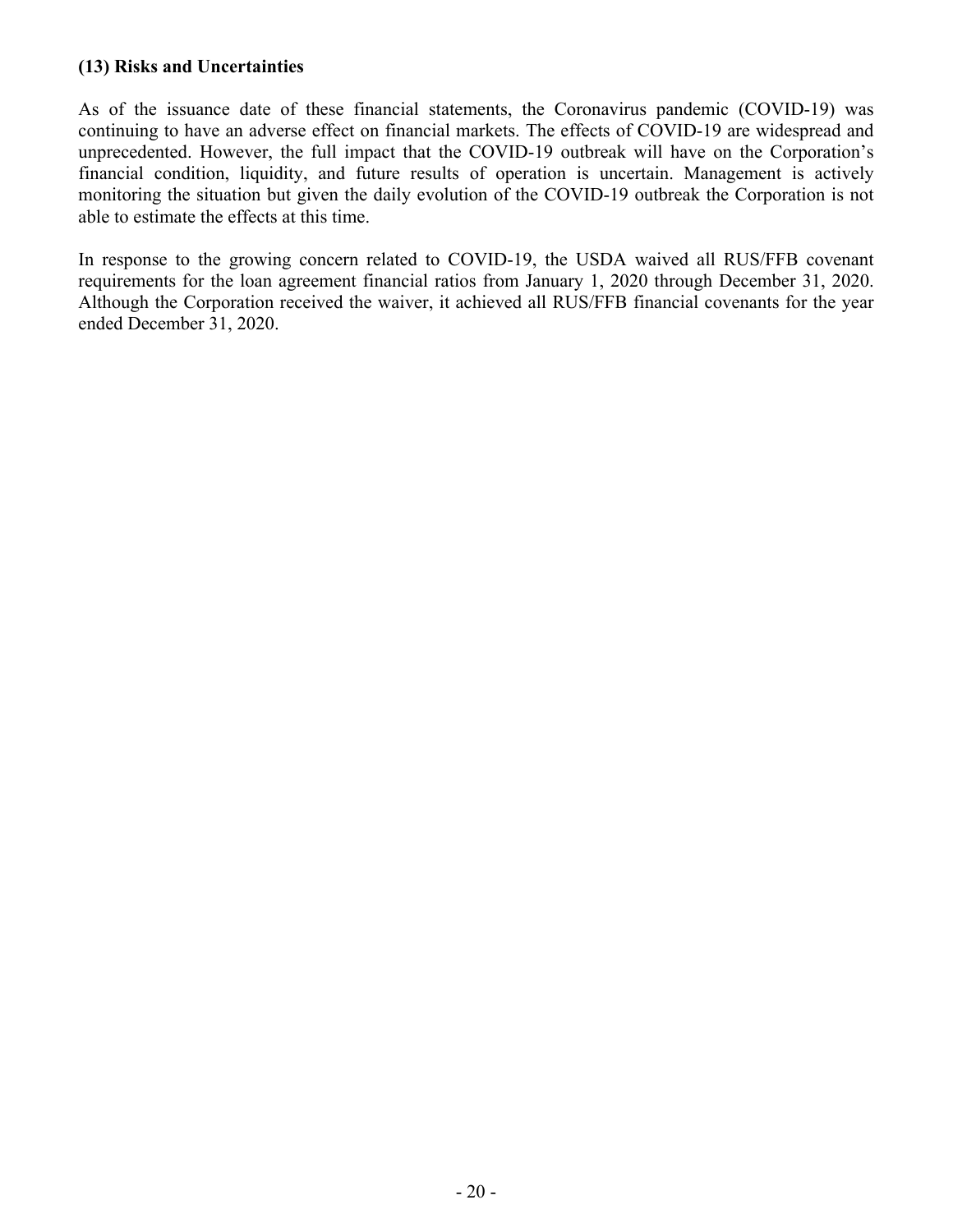## **(13) Risks and Uncertainties**

As of the issuance date of these financial statements, the Coronavirus pandemic (COVID-19) was continuing to have an adverse effect on financial markets. The effects of COVID-19 are widespread and unprecedented. However, the full impact that the COVID-19 outbreak will have on the Corporation's financial condition, liquidity, and future results of operation is uncertain. Management is actively monitoring the situation but given the daily evolution of the COVID-19 outbreak the Corporation is not able to estimate the effects at this time.

In response to the growing concern related to COVID-19, the USDA waived all RUS/FFB covenant requirements for the loan agreement financial ratios from January 1, 2020 through December 31, 2020. Although the Corporation received the waiver, it achieved all RUS/FFB financial covenants for the year ended December 31, 2020.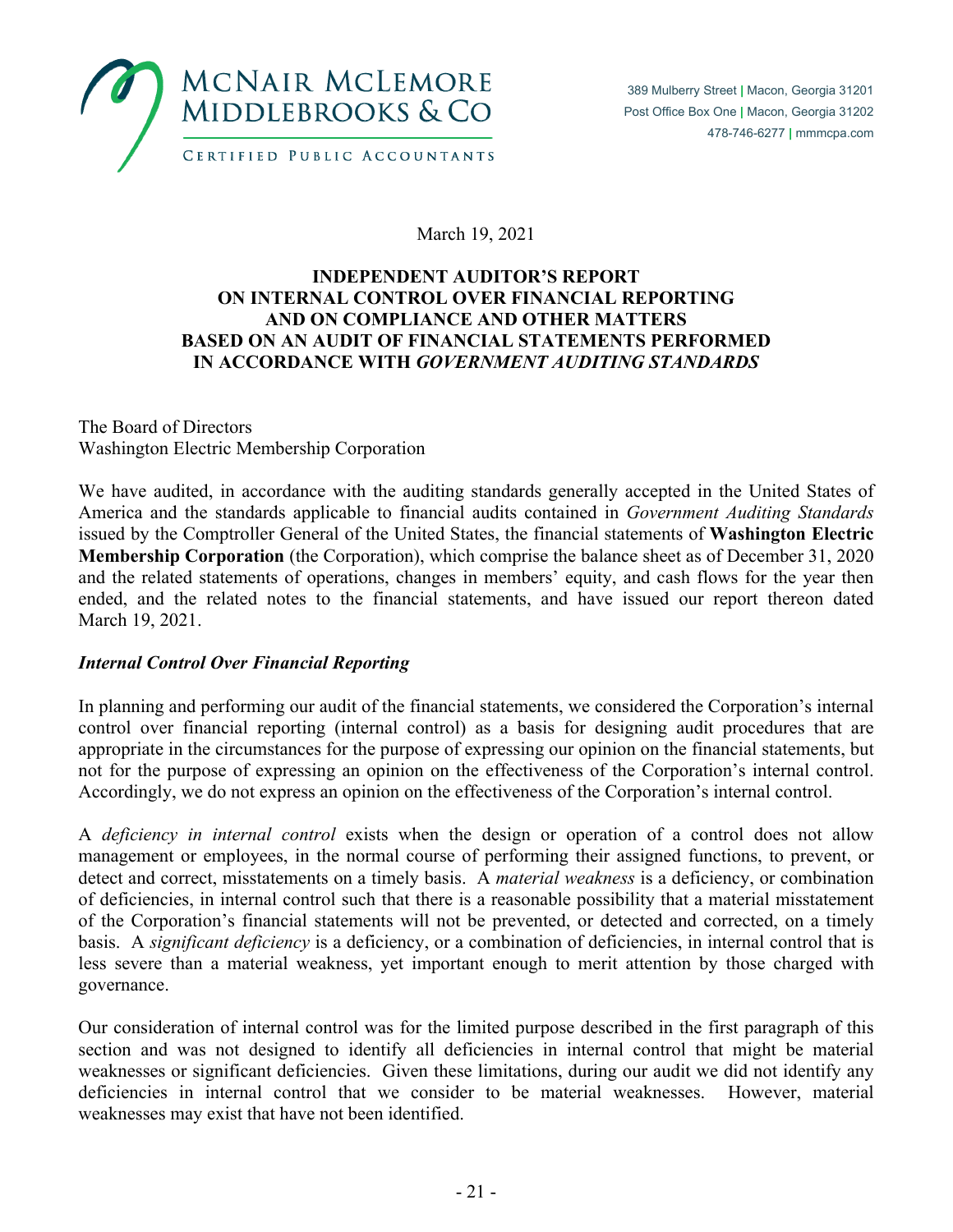

March 19, 2021

## **INDEPENDENT AUDITOR'S REPORT ON INTERNAL CONTROL OVER FINANCIAL REPORTING AND ON COMPLIANCE AND OTHER MATTERS BASED ON AN AUDIT OF FINANCIAL STATEMENTS PERFORMED IN ACCORDANCE WITH** *GOVERNMENT AUDITING STANDARDS*

## The Board of Directors Washington Electric Membership Corporation

We have audited, in accordance with the auditing standards generally accepted in the United States of America and the standards applicable to financial audits contained in *Government Auditing Standards* issued by the Comptroller General of the United States, the financial statements of **Washington Electric Membership Corporation** (the Corporation), which comprise the balance sheet as of December 31, 2020 and the related statements of operations, changes in members' equity, and cash flows for the year then ended, and the related notes to the financial statements, and have issued our report thereon dated March 19, 2021.

## *Internal Control Over Financial Reporting*

In planning and performing our audit of the financial statements, we considered the Corporation's internal control over financial reporting (internal control) as a basis for designing audit procedures that are appropriate in the circumstances for the purpose of expressing our opinion on the financial statements, but not for the purpose of expressing an opinion on the effectiveness of the Corporation's internal control. Accordingly, we do not express an opinion on the effectiveness of the Corporation's internal control.

A *deficiency in internal control* exists when the design or operation of a control does not allow management or employees, in the normal course of performing their assigned functions, to prevent, or detect and correct, misstatements on a timely basis. A *material weakness* is a deficiency, or combination of deficiencies, in internal control such that there is a reasonable possibility that a material misstatement of the Corporation's financial statements will not be prevented, or detected and corrected, on a timely basis. A *significant deficiency* is a deficiency, or a combination of deficiencies, in internal control that is less severe than a material weakness, yet important enough to merit attention by those charged with governance.

Our consideration of internal control was for the limited purpose described in the first paragraph of this section and was not designed to identify all deficiencies in internal control that might be material weaknesses or significant deficiencies. Given these limitations, during our audit we did not identify any deficiencies in internal control that we consider to be material weaknesses. However, material weaknesses may exist that have not been identified.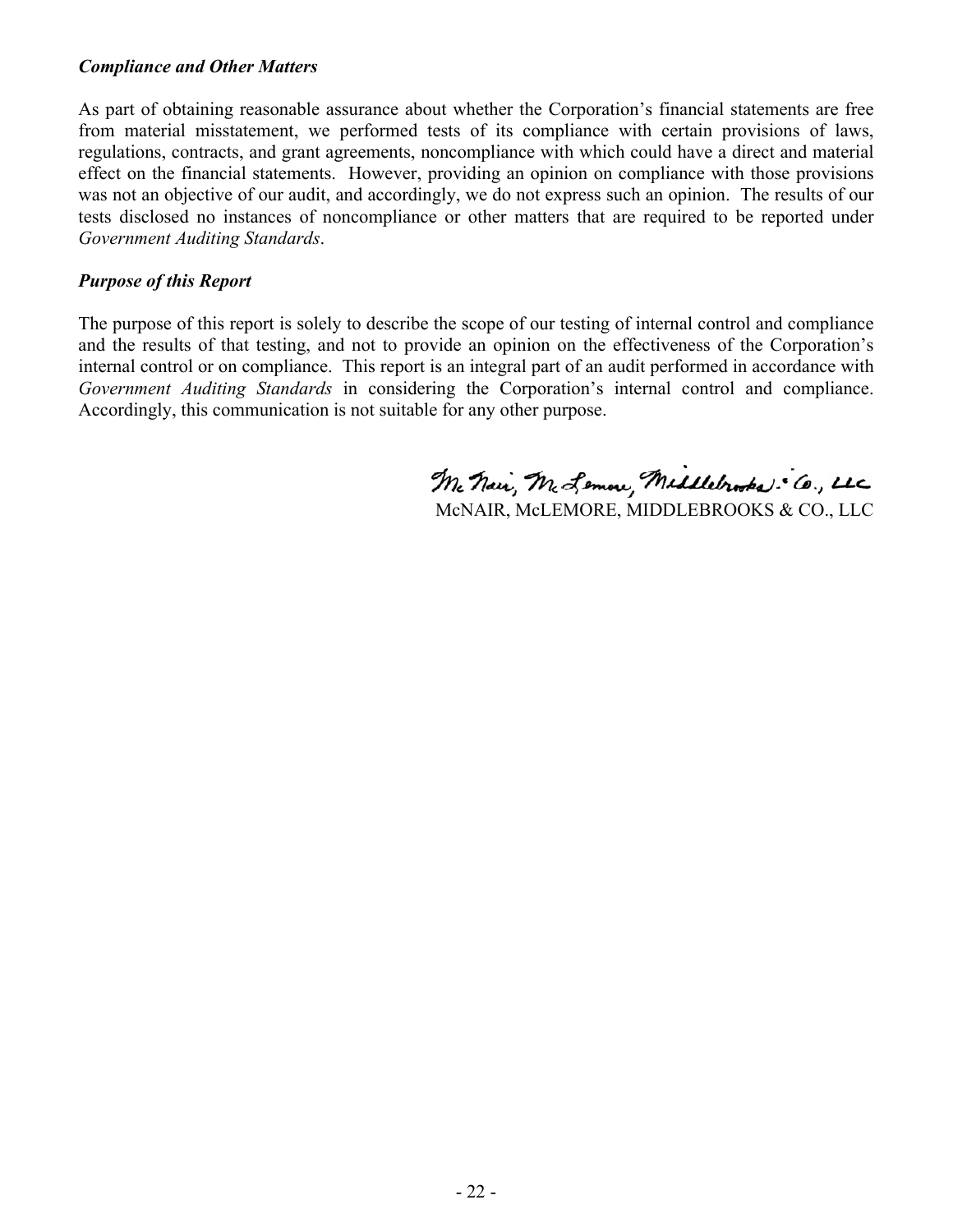### *Compliance and Other Matters*

As part of obtaining reasonable assurance about whether the Corporation's financial statements are free from material misstatement, we performed tests of its compliance with certain provisions of laws, regulations, contracts, and grant agreements, noncompliance with which could have a direct and material effect on the financial statements. However, providing an opinion on compliance with those provisions was not an objective of our audit, and accordingly, we do not express such an opinion. The results of our tests disclosed no instances of noncompliance or other matters that are required to be reported under *Government Auditing Standards*.

## *Purpose of this Report*

The purpose of this report is solely to describe the scope of our testing of internal control and compliance and the results of that testing, and not to provide an opinion on the effectiveness of the Corporation's internal control or on compliance. This report is an integral part of an audit performed in accordance with *Government Auditing Standards* in considering the Corporation's internal control and compliance. Accordingly, this communication is not suitable for any other purpose.

> Mc Nair, Mc Lemon, Middlebrooks: Co., LLC McNAIR, McLEMORE, MIDDLEBROOKS & CO., LLC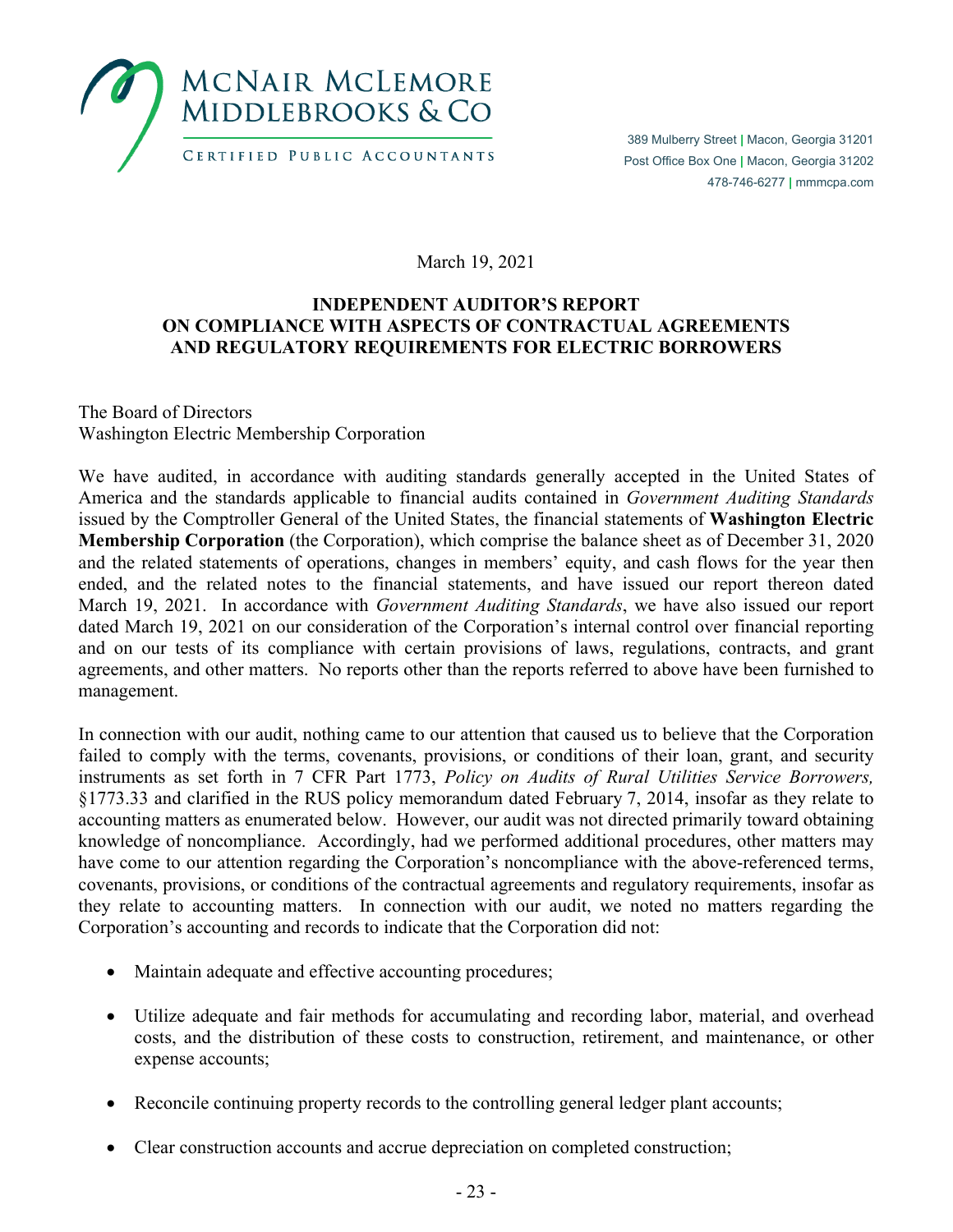

389 Mulberry Street **|** Macon, Georgia 31201 Post Office Box One **|** Macon, Georgia 31202 478-746-6277 **|** mmmcpa.com

March 19, 2021

## **INDEPENDENT AUDITOR'S REPORT ON COMPLIANCE WITH ASPECTS OF CONTRACTUAL AGREEMENTS AND REGULATORY REQUIREMENTS FOR ELECTRIC BORROWERS**

The Board of Directors Washington Electric Membership Corporation

We have audited, in accordance with auditing standards generally accepted in the United States of America and the standards applicable to financial audits contained in *Government Auditing Standards*  issued by the Comptroller General of the United States, the financial statements of **Washington Electric Membership Corporation** (the Corporation), which comprise the balance sheet as of December 31, 2020 and the related statements of operations, changes in members' equity, and cash flows for the year then ended, and the related notes to the financial statements, and have issued our report thereon dated March 19, 2021. In accordance with *Government Auditing Standards*, we have also issued our report dated March 19, 2021 on our consideration of the Corporation's internal control over financial reporting and on our tests of its compliance with certain provisions of laws, regulations, contracts, and grant agreements, and other matters. No reports other than the reports referred to above have been furnished to management.

In connection with our audit, nothing came to our attention that caused us to believe that the Corporation failed to comply with the terms, covenants, provisions, or conditions of their loan, grant, and security instruments as set forth in 7 CFR Part 1773, *Policy on Audits of Rural Utilities Service Borrowers,*  §1773.33 and clarified in the RUS policy memorandum dated February 7, 2014, insofar as they relate to accounting matters as enumerated below. However, our audit was not directed primarily toward obtaining knowledge of noncompliance. Accordingly, had we performed additional procedures, other matters may have come to our attention regarding the Corporation's noncompliance with the above-referenced terms, covenants, provisions, or conditions of the contractual agreements and regulatory requirements, insofar as they relate to accounting matters. In connection with our audit, we noted no matters regarding the Corporation's accounting and records to indicate that the Corporation did not:

- Maintain adequate and effective accounting procedures;
- Utilize adequate and fair methods for accumulating and recording labor, material, and overhead costs, and the distribution of these costs to construction, retirement, and maintenance, or other expense accounts;
- Reconcile continuing property records to the controlling general ledger plant accounts;
- Clear construction accounts and accrue depreciation on completed construction;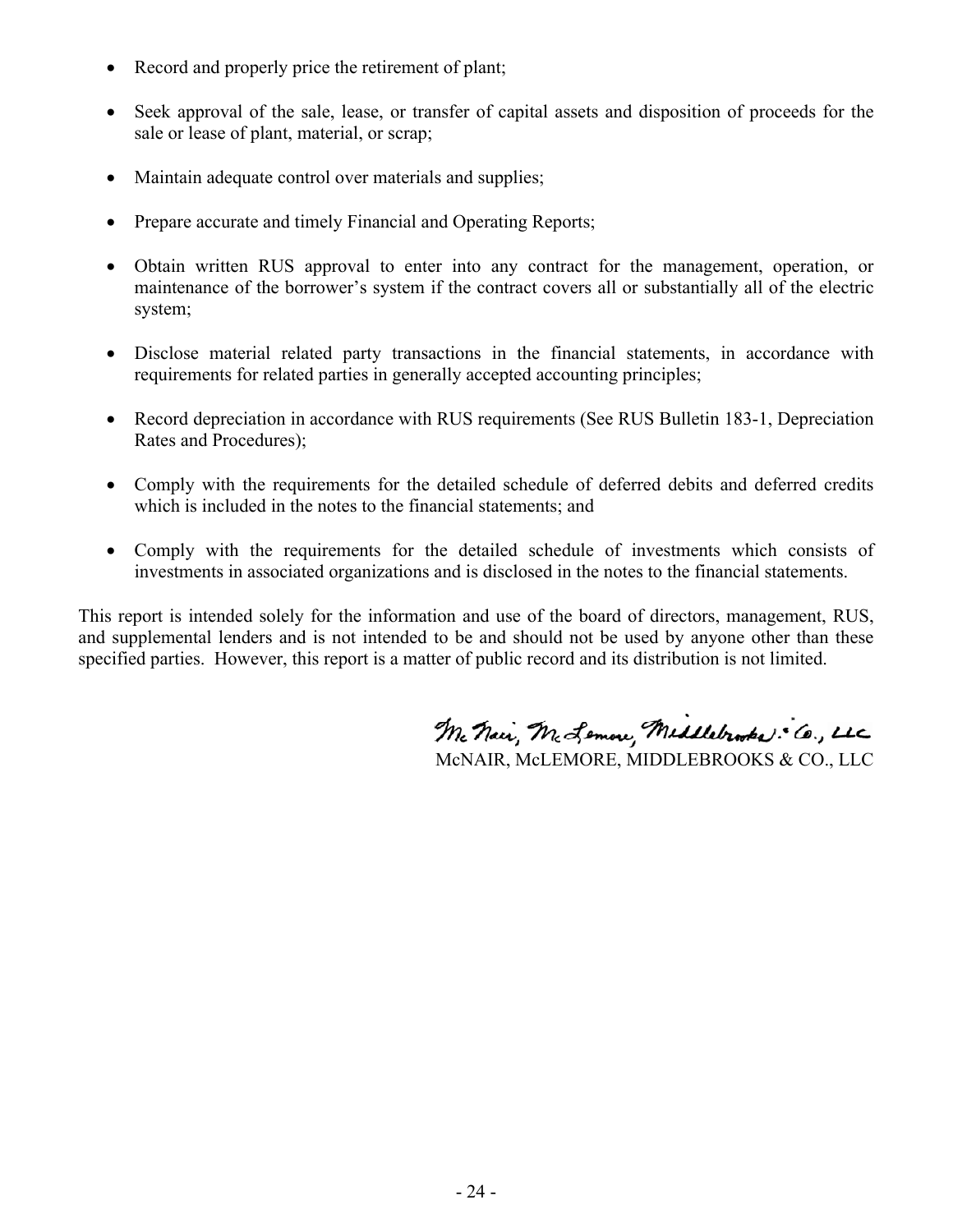- Record and properly price the retirement of plant;
- Seek approval of the sale, lease, or transfer of capital assets and disposition of proceeds for the sale or lease of plant, material, or scrap;
- Maintain adequate control over materials and supplies;
- Prepare accurate and timely Financial and Operating Reports;
- Obtain written RUS approval to enter into any contract for the management, operation, or maintenance of the borrower's system if the contract covers all or substantially all of the electric system;
- Disclose material related party transactions in the financial statements, in accordance with requirements for related parties in generally accepted accounting principles;
- Record depreciation in accordance with RUS requirements (See RUS Bulletin 183-1, Depreciation Rates and Procedures);
- Comply with the requirements for the detailed schedule of deferred debits and deferred credits which is included in the notes to the financial statements; and
- Comply with the requirements for the detailed schedule of investments which consists of investments in associated organizations and is disclosed in the notes to the financial statements.

This report is intended solely for the information and use of the board of directors, management, RUS, and supplemental lenders and is not intended to be and should not be used by anyone other than these specified parties. However, this report is a matter of public record and its distribution is not limited.

Mc nair, Mc Lemon, Middlebrooks: Co., LLC

McNAIR, McLEMORE, MIDDLEBROOKS & CO., LLC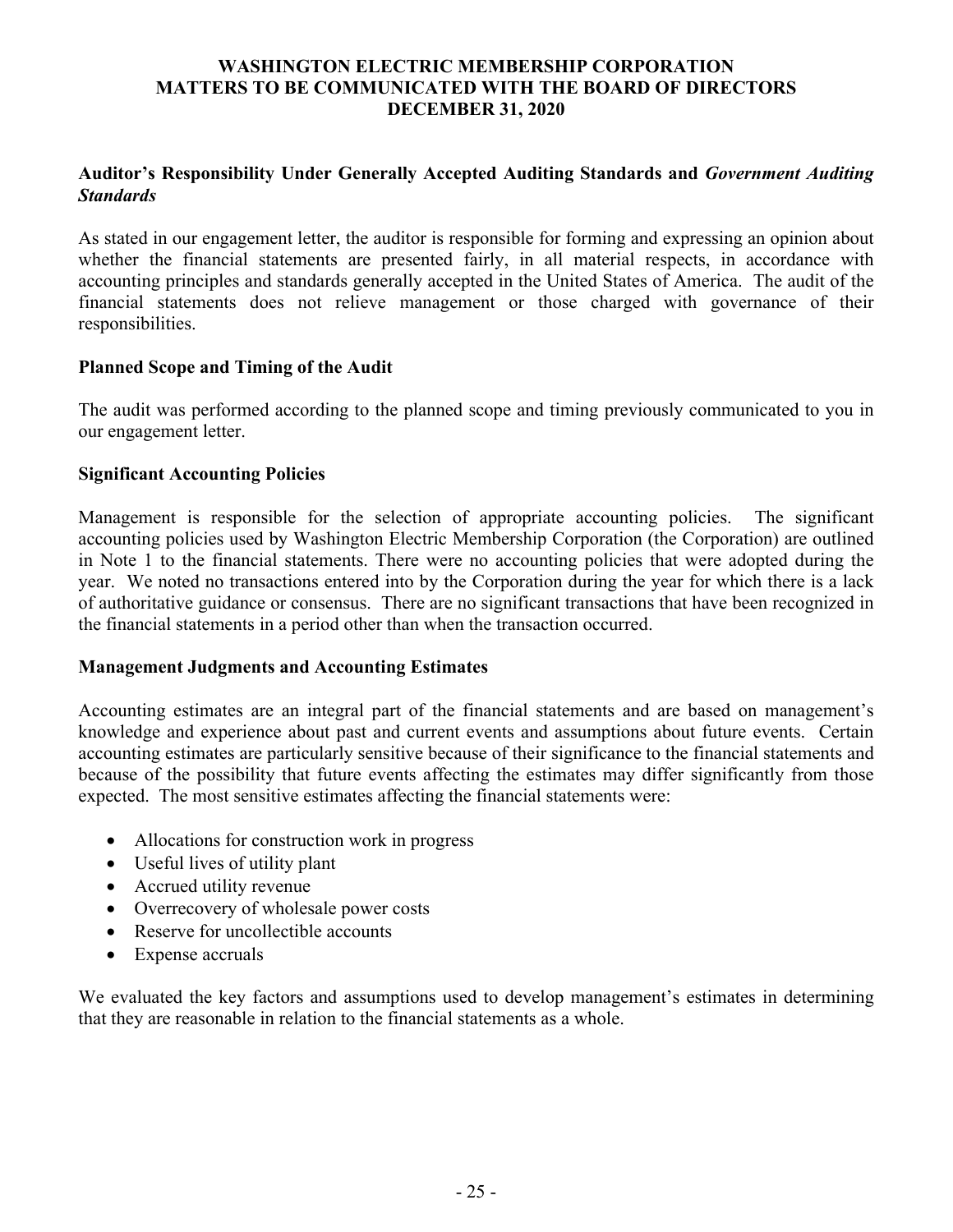### **WASHINGTON ELECTRIC MEMBERSHIP CORPORATION MATTERS TO BE COMMUNICATED WITH THE BOARD OF DIRECTORS DECEMBER 31, 2020**

## **Auditor's Responsibility Under Generally Accepted Auditing Standards and** *Government Auditing Standards*

As stated in our engagement letter, the auditor is responsible for forming and expressing an opinion about whether the financial statements are presented fairly, in all material respects, in accordance with accounting principles and standards generally accepted in the United States of America. The audit of the financial statements does not relieve management or those charged with governance of their responsibilities.

### **Planned Scope and Timing of the Audit**

The audit was performed according to the planned scope and timing previously communicated to you in our engagement letter.

### **Significant Accounting Policies**

Management is responsible for the selection of appropriate accounting policies. The significant accounting policies used by Washington Electric Membership Corporation (the Corporation) are outlined in Note 1 to the financial statements. There were no accounting policies that were adopted during the year. We noted no transactions entered into by the Corporation during the year for which there is a lack of authoritative guidance or consensus. There are no significant transactions that have been recognized in the financial statements in a period other than when the transaction occurred.

## **Management Judgments and Accounting Estimates**

Accounting estimates are an integral part of the financial statements and are based on management's knowledge and experience about past and current events and assumptions about future events. Certain accounting estimates are particularly sensitive because of their significance to the financial statements and because of the possibility that future events affecting the estimates may differ significantly from those expected. The most sensitive estimates affecting the financial statements were:

- Allocations for construction work in progress
- Useful lives of utility plant
- Accrued utility revenue
- Overrecovery of wholesale power costs
- Reserve for uncollectible accounts
- Expense accruals

We evaluated the key factors and assumptions used to develop management's estimates in determining that they are reasonable in relation to the financial statements as a whole.